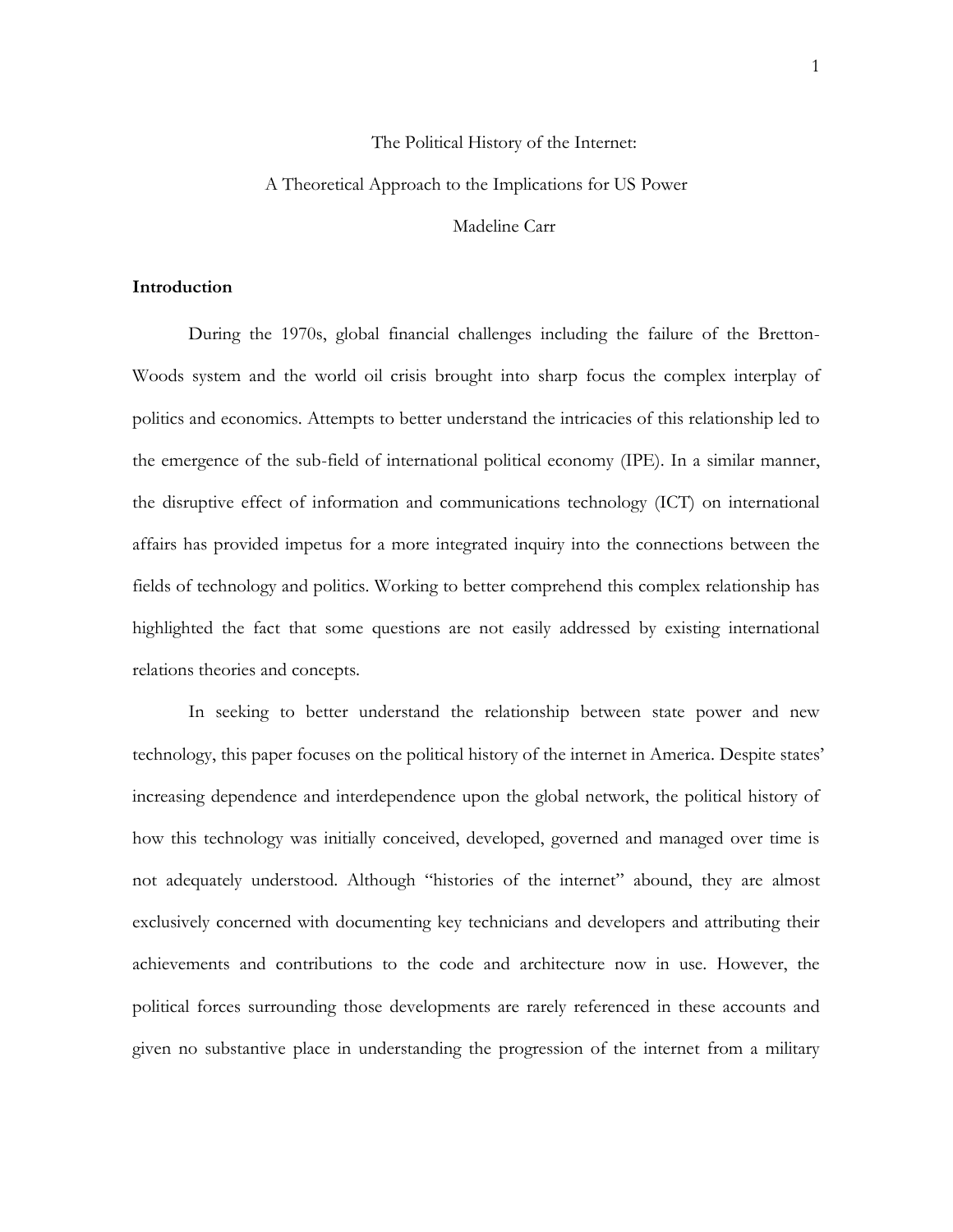## The Political History of the Internet:

## A Theoretical Approach to the Implications for US Power

Madeline Carr

## **Introduction**

During the 1970s, global financial challenges including the failure of the Bretton-Woods system and the world oil crisis brought into sharp focus the complex interplay of politics and economics. Attempts to better understand the intricacies of this relationship led to the emergence of the sub-field of international political economy (IPE). In a similar manner, the disruptive effect of information and communications technology (ICT) on international affairs has provided impetus for a more integrated inquiry into the connections between the fields of technology and politics. Working to better comprehend this complex relationship has highlighted the fact that some questions are not easily addressed by existing international relations theories and concepts.

In seeking to better understand the relationship between state power and new technology, this paper focuses on the political history of the internet in America. Despite states' increasing dependence and interdependence upon the global network, the political history of how this technology was initially conceived, developed, governed and managed over time is not adequately understood. Although "histories of the internet" abound, they are almost exclusively concerned with documenting key technicians and developers and attributing their achievements and contributions to the code and architecture now in use. However, the political forces surrounding those developments are rarely referenced in these accounts and given no substantive place in understanding the progression of the internet from a military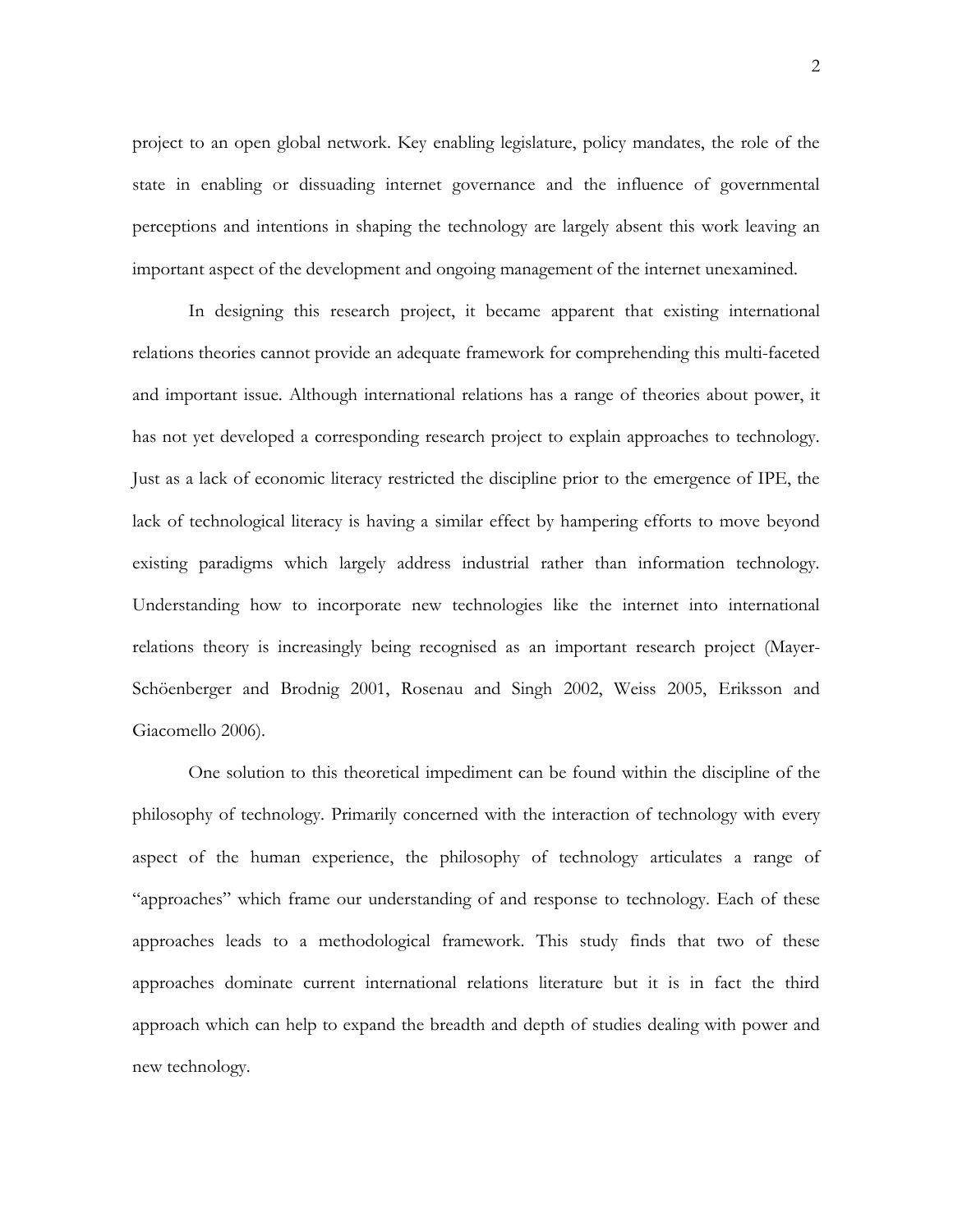project to an open global network. Key enabling legislature, policy mandates, the role of the state in enabling or dissuading internet governance and the influence of governmental perceptions and intentions in shaping the technology are largely absent this work leaving an important aspect of the development and ongoing management of the internet unexamined.

In designing this research project, it became apparent that existing international relations theories cannot provide an adequate framework for comprehending this multi-faceted and important issue. Although international relations has a range of theories about power, it has not yet developed a corresponding research project to explain approaches to technology. Just as a lack of economic literacy restricted the discipline prior to the emergence of IPE, the lack of technological literacy is having a similar effect by hampering efforts to move beyond existing paradigms which largely address industrial rather than information technology. Understanding how to incorporate new technologies like the internet into international relations theory is increasingly being recognised as an important research project (Mayer-Schöenberger and Brodnig 2001, Rosenau and Singh 2002, Weiss 2005, Eriksson and Giacomello 2006).

One solution to this theoretical impediment can be found within the discipline of the philosophy of technology. Primarily concerned with the interaction of technology with every aspect of the human experience, the philosophy of technology articulates a range of "approaches" which frame our understanding of and response to technology. Each of these approaches leads to a methodological framework. This study finds that two of these approaches dominate current international relations literature but it is in fact the third approach which can help to expand the breadth and depth of studies dealing with power and new technology.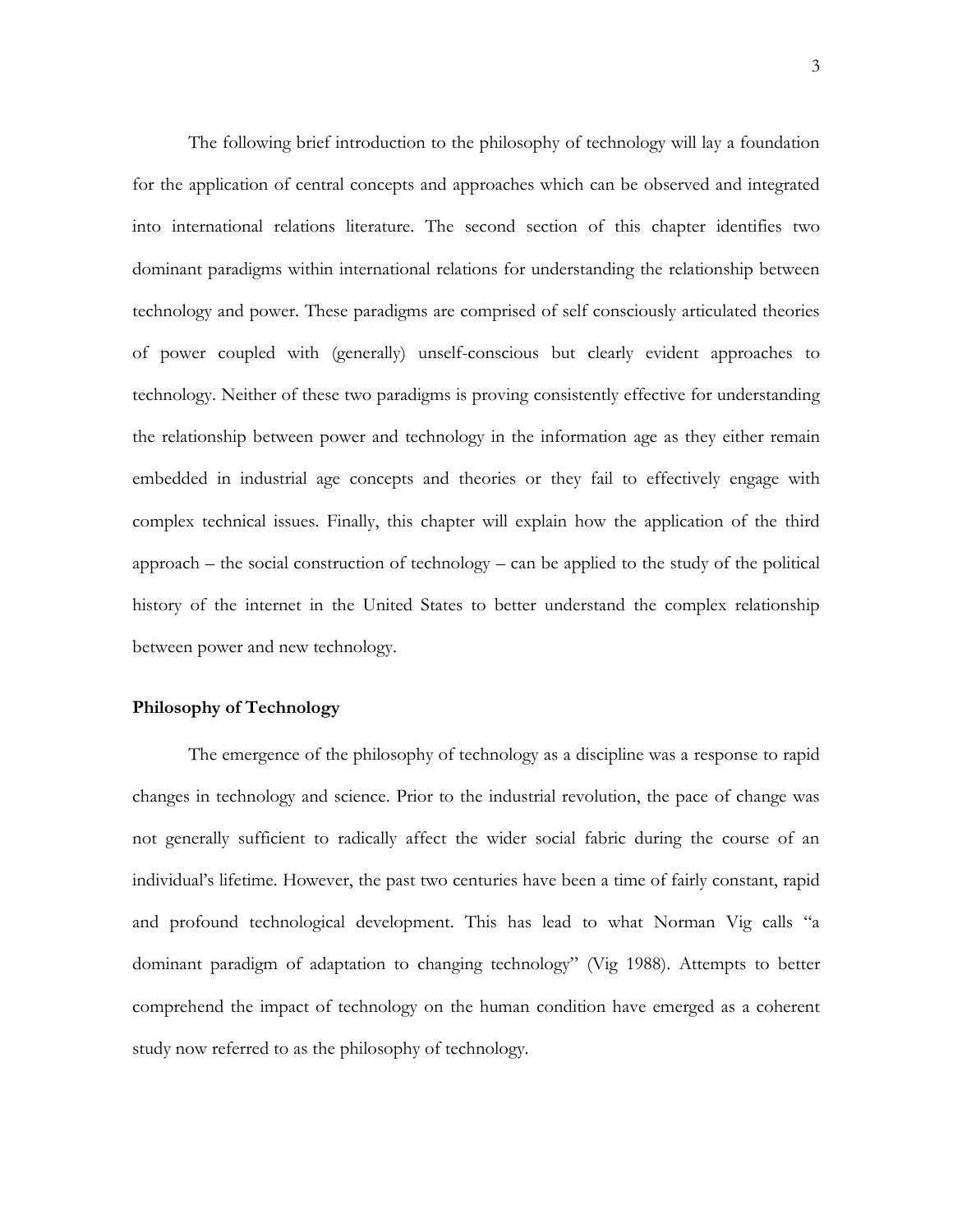The following brief introduction to the philosophy of technology will lay a foundation for the application of central concepts and approaches which can be observed and integrated into international relations literature. The second section of this chapter identifies two dominant paradigms within international relations for understanding the relationship between technology and power. These paradigms are comprised of self consciously articulated theories of power coupled with (generally) unself-conscious but clearly evident approaches to technology. Neither of these two paradigms is proving consistently effective for understanding the relationship between power and technology in the information age as they either remain embedded in industrial age concepts and theories or they fail to effectively engage with complex technical issues. Finally, this chapter will explain how the application of the third  $approach - the social construction of technology - can be applied to the study of the political$ history of the internet in the United States to better understand the complex relationship between power and new technology.

# **Philosophy of Technology**

The emergence of the philosophy of technology as a discipline was a response to rapid changes in technology and science. Prior to the industrial revolution, the pace of change was not generally sufficient to radically affect the wider social fabric during the course of an individual's lifetime. However, the past two centuries have been a time of fairly constant, rapid and profound technological development. This has lead to what Norman Vig calls "a dominant paradigm of adaptation to changing technology" (Vig 1988). Attempts to better comprehend the impact of technology on the human condition have emerged as a coherent study now referred to as the philosophy of technology.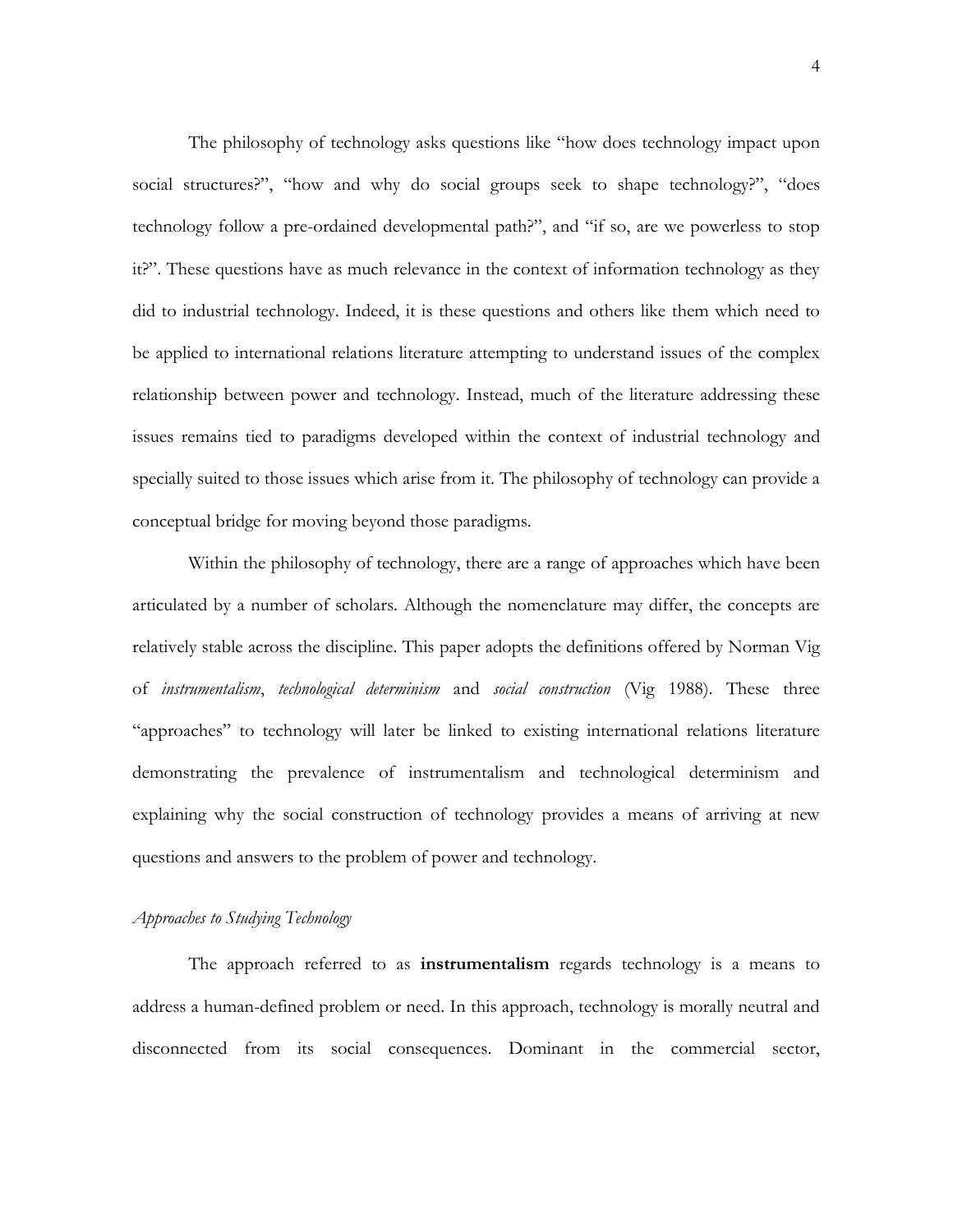The philosophy of technology asks questions like "how does technology impact upon social structures?", "how and why do social groups seek to shape technology?", "does technology follow a pre-ordained developmental path?", and "if so, are we powerless to stop it?". These questions have as much relevance in the context of information technology as they did to industrial technology. Indeed, it is these questions and others like them which need to be applied to international relations literature attempting to understand issues of the complex relationship between power and technology. Instead, much of the literature addressing these issues remains tied to paradigms developed within the context of industrial technology and specially suited to those issues which arise from it. The philosophy of technology can provide a conceptual bridge for moving beyond those paradigms.

Within the philosophy of technology, there are a range of approaches which have been articulated by a number of scholars. Although the nomenclature may differ, the concepts are relatively stable across the discipline. This paper adopts the definitions offered by Norman Vig of *instrumentalism*, *technological determinism* and *social construction* (Vig 1988). These three "approaches" to technology will later be linked to existing international relations literature demonstrating the prevalence of instrumentalism and technological determinism and explaining why the social construction of technology provides a means of arriving at new questions and answers to the problem of power and technology.

# *Approaches to Studying Technology*

The approach referred to as **instrumentalism** regards technology is a means to address a human-defined problem or need. In this approach, technology is morally neutral and disconnected from its social consequences. Dominant in the commercial sector,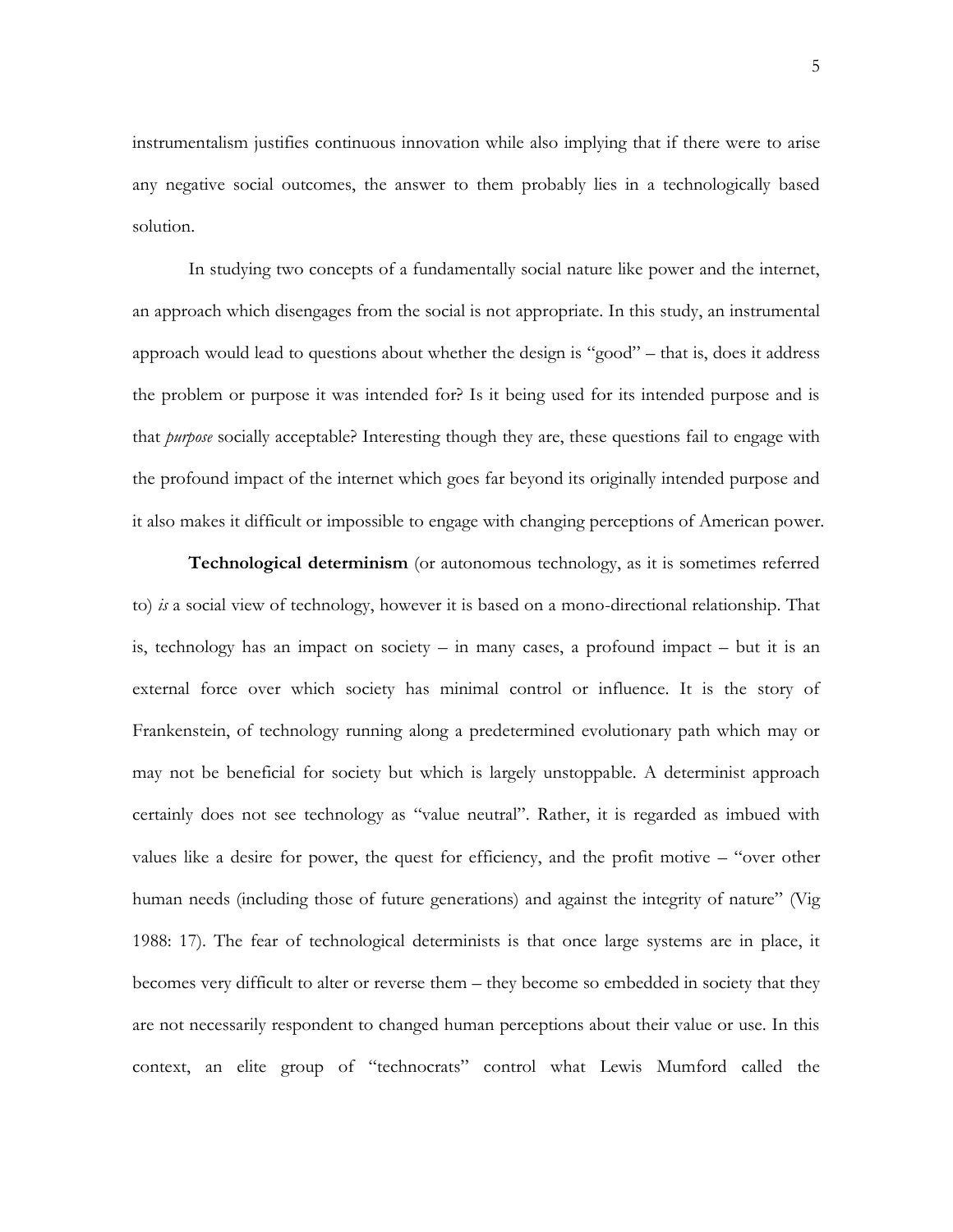instrumentalism justifies continuous innovation while also implying that if there were to arise any negative social outcomes, the answer to them probably lies in a technologically based solution.

In studying two concepts of a fundamentally social nature like power and the internet, an approach which disengages from the social is not appropriate. In this study, an instrumental approach would lead to questions about whether the design is "good" – that is, does it address the problem or purpose it was intended for? Is it being used for its intended purpose and is that *purpose* socially acceptable? Interesting though they are, these questions fail to engage with the profound impact of the internet which goes far beyond its originally intended purpose and it also makes it difficult or impossible to engage with changing perceptions of American power.

**Technological determinism** (or autonomous technology, as it is sometimes referred to) *is* a social view of technology, however it is based on a mono-directional relationship. That is, technology has an impact on society – in many cases, a profound impact – but it is an external force over which society has minimal control or influence. It is the story of Frankenstein, of technology running along a predetermined evolutionary path which may or may not be beneficial for society but which is largely unstoppable. A determinist approach certainly does not see technology as "value neutral". Rather, it is regarded as imbued with values like a desire for power, the quest for efficiency, and the profit motive – "over other human needs (including those of future generations) and against the integrity of nature" (Vig 1988: 17). The fear of technological determinists is that once large systems are in place, it becomes very difficult to alter or reverse them – they become so embedded in society that they are not necessarily respondent to changed human perceptions about their value or use. In this context, an elite group of "technocrats" control what Lewis Mumford called the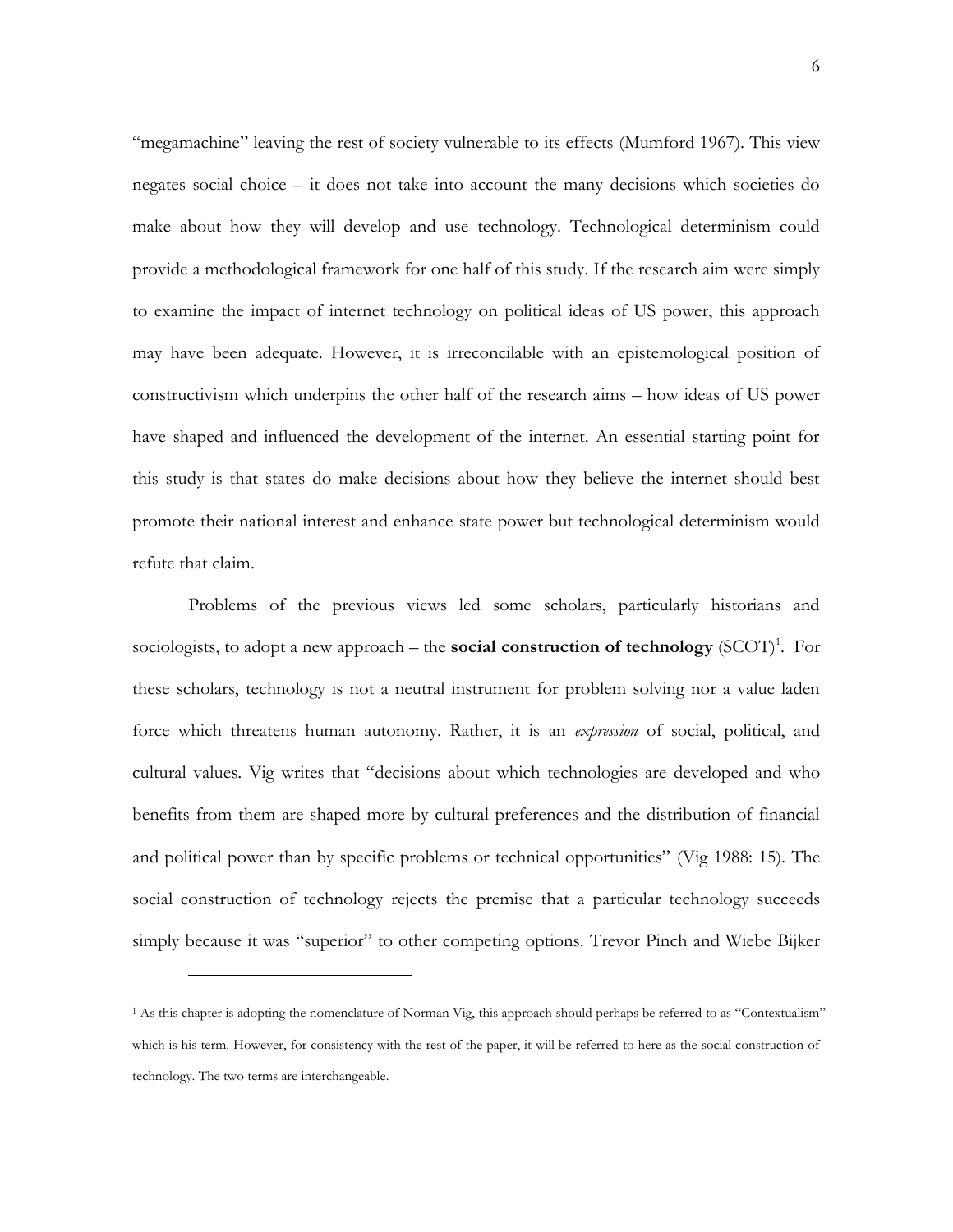"megamachine" leaving the rest of society vulnerable to its effects (Mumford 1967). This view negates social choice – it does not take into account the many decisions which societies do make about how they will develop and use technology. Technological determinism could provide a methodological framework for one half of this study. If the research aim were simply to examine the impact of internet technology on political ideas of US power, this approach may have been adequate. However, it is irreconcilable with an epistemological position of constructivism which underpins the other half of the research aims – how ideas of US power have shaped and influenced the development of the internet. An essential starting point for this study is that states do make decisions about how they believe the internet should best promote their national interest and enhance state power but technological determinism would refute that claim.

Problems of the previous views led some scholars, particularly historians and sociologists, to adopt a new approach  $-$  the **social construction of technology** (SCOT)<sup>1</sup>. For these scholars, technology is not a neutral instrument for problem solving nor a value laden force which threatens human autonomy. Rather, it is an *expression* of social, political, and cultural values. Vig writes that "decisions about which technologies are developed and who benefits from them are shaped more by cultural preferences and the distribution of financial and political power than by specific problems or technical opportunities" (Vig 1988: 15). The social construction of technology rejects the premise that a particular technology succeeds simply because it was "superior" to other competing options. Trevor Pinch and Wiebe Bijker

 $\overline{a}$ 

<sup>1</sup> As this chapter is adopting the nomenclature of Norman Vig, this approach should perhaps be referred to as "Contextualism" which is his term. However, for consistency with the rest of the paper, it will be referred to here as the social construction of technology. The two terms are interchangeable.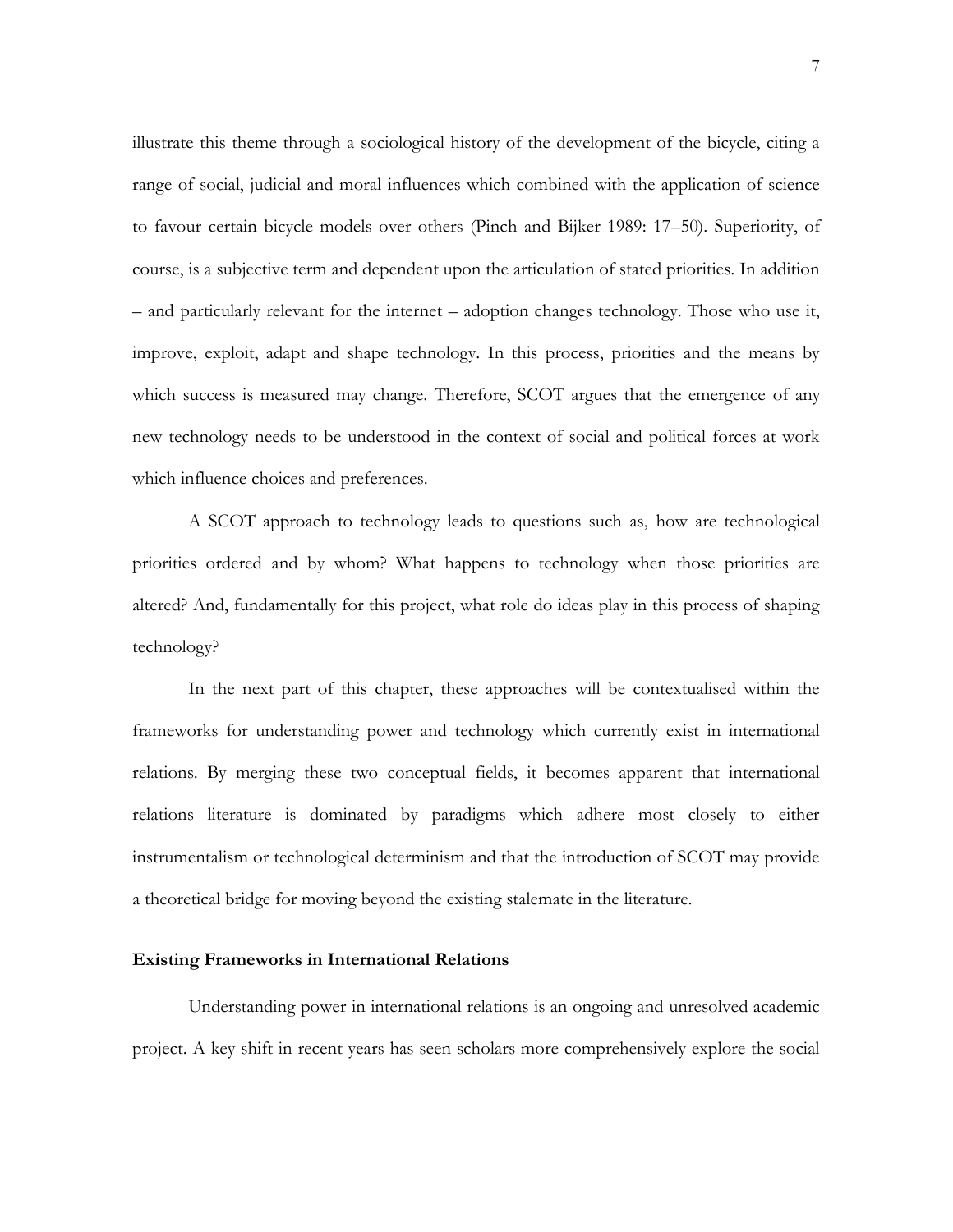illustrate this theme through a sociological history of the development of the bicycle, citing a range of social, judicial and moral influences which combined with the application of science to favour certain bicycle models over others (Pinch and Bijker 1989: 17–50). Superiority, of course, is a subjective term and dependent upon the articulation of stated priorities. In addition – and particularly relevant for the internet – adoption changes technology. Those who use it, improve, exploit, adapt and shape technology. In this process, priorities and the means by which success is measured may change. Therefore, SCOT argues that the emergence of any new technology needs to be understood in the context of social and political forces at work which influence choices and preferences.

A SCOT approach to technology leads to questions such as, how are technological priorities ordered and by whom? What happens to technology when those priorities are altered? And, fundamentally for this project, what role do ideas play in this process of shaping technology?

In the next part of this chapter, these approaches will be contextualised within the frameworks for understanding power and technology which currently exist in international relations. By merging these two conceptual fields, it becomes apparent that international relations literature is dominated by paradigms which adhere most closely to either instrumentalism or technological determinism and that the introduction of SCOT may provide a theoretical bridge for moving beyond the existing stalemate in the literature.

## **Existing Frameworks in International Relations**

Understanding power in international relations is an ongoing and unresolved academic project. A key shift in recent years has seen scholars more comprehensively explore the social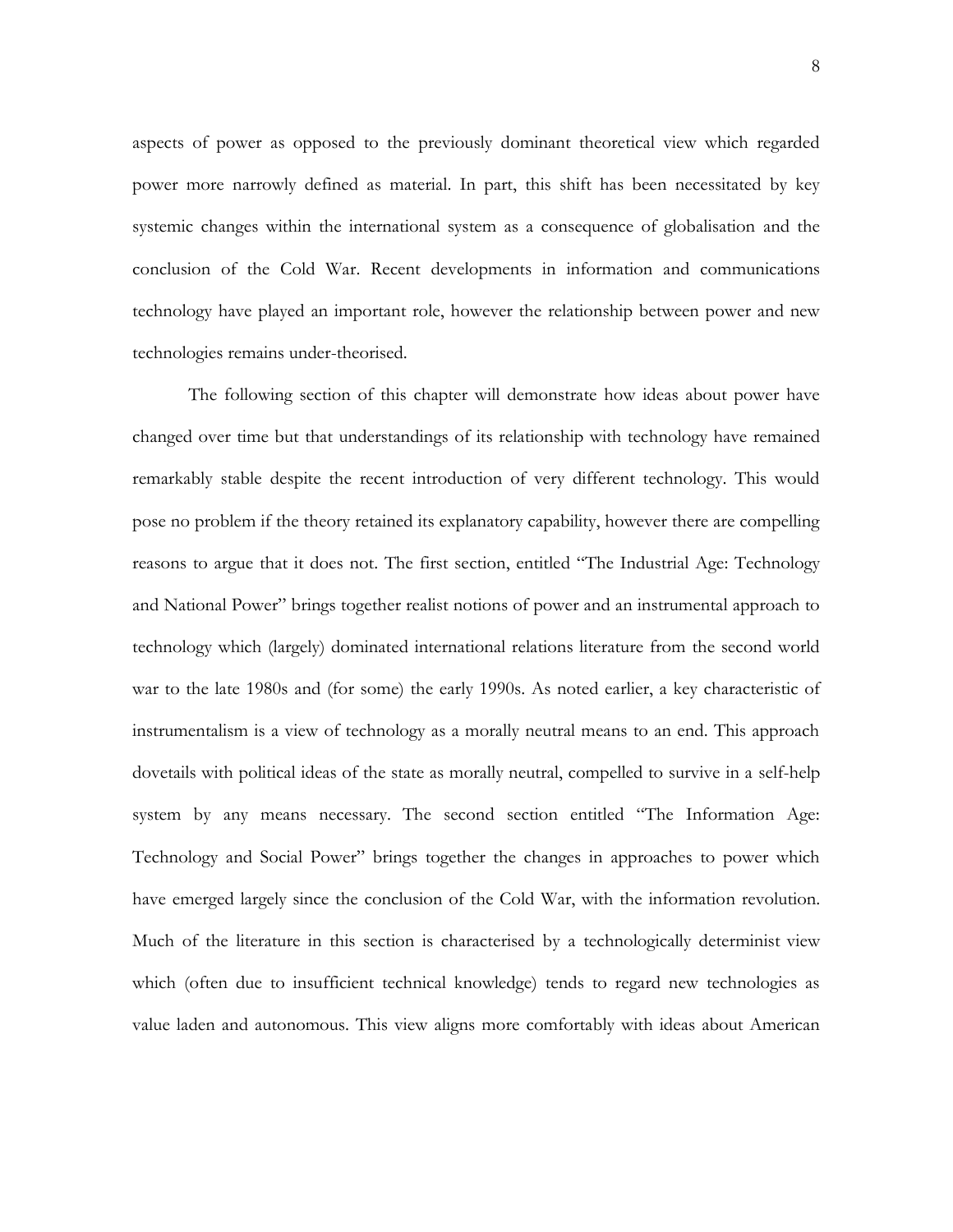aspects of power as opposed to the previously dominant theoretical view which regarded power more narrowly defined as material. In part, this shift has been necessitated by key systemic changes within the international system as a consequence of globalisation and the conclusion of the Cold War. Recent developments in information and communications technology have played an important role, however the relationship between power and new technologies remains under-theorised.

The following section of this chapter will demonstrate how ideas about power have changed over time but that understandings of its relationship with technology have remained remarkably stable despite the recent introduction of very different technology. This would pose no problem if the theory retained its explanatory capability, however there are compelling reasons to argue that it does not. The first section, entitled "The Industrial Age: Technology and National Power" brings together realist notions of power and an instrumental approach to technology which (largely) dominated international relations literature from the second world war to the late 1980s and (for some) the early 1990s. As noted earlier, a key characteristic of instrumentalism is a view of technology as a morally neutral means to an end. This approach dovetails with political ideas of the state as morally neutral, compelled to survive in a self-help system by any means necessary. The second section entitled "The Information Age: Technology and Social Power" brings together the changes in approaches to power which have emerged largely since the conclusion of the Cold War, with the information revolution. Much of the literature in this section is characterised by a technologically determinist view which (often due to insufficient technical knowledge) tends to regard new technologies as value laden and autonomous. This view aligns more comfortably with ideas about American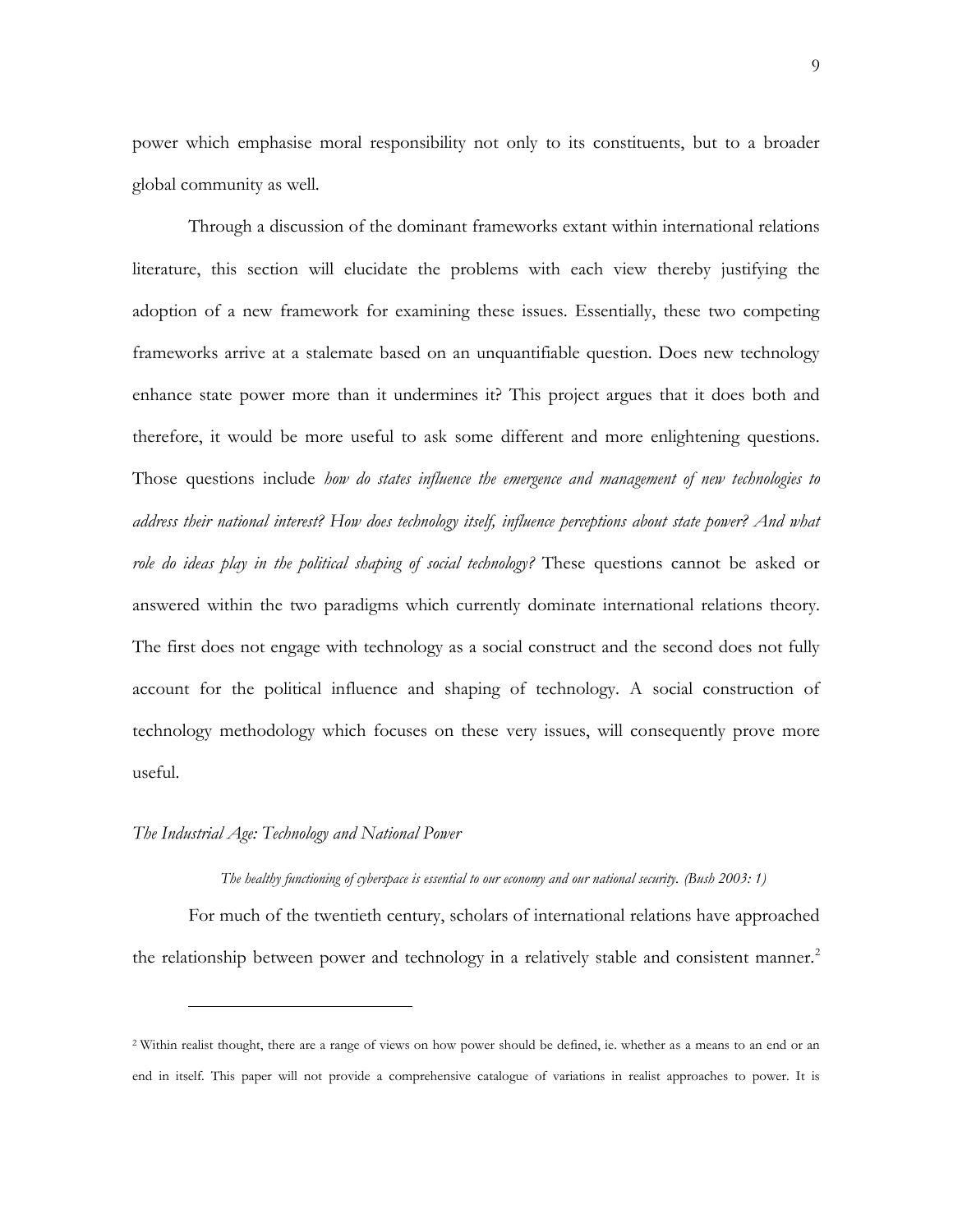power which emphasise moral responsibility not only to its constituents, but to a broader global community as well.

Through a discussion of the dominant frameworks extant within international relations literature, this section will elucidate the problems with each view thereby justifying the adoption of a new framework for examining these issues. Essentially, these two competing frameworks arrive at a stalemate based on an unquantifiable question. Does new technology enhance state power more than it undermines it? This project argues that it does both and therefore, it would be more useful to ask some different and more enlightening questions. Those questions include *how do states influence the emergence and management of new technologies to address their national interest? How does technology itself, influence perceptions about state power? And what role do ideas play in the political shaping of social technology?* These questions cannot be asked or answered within the two paradigms which currently dominate international relations theory. The first does not engage with technology as a social construct and the second does not fully account for the political influence and shaping of technology. A social construction of technology methodology which focuses on these very issues, will consequently prove more useful.

## *The Industrial Age: Technology and National Power*

 $\overline{a}$ 

#### *The healthy functioning of cyberspace is essential to our economy and our national security. (Bush 2003: 1)*

For much of the twentieth century, scholars of international relations have approached the relationship between power and technology in a relatively stable and consistent manner.<sup>2</sup>

<sup>2</sup> Within realist thought, there are a range of views on how power should be defined, ie. whether as a means to an end or an end in itself. This paper will not provide a comprehensive catalogue of variations in realist approaches to power. It is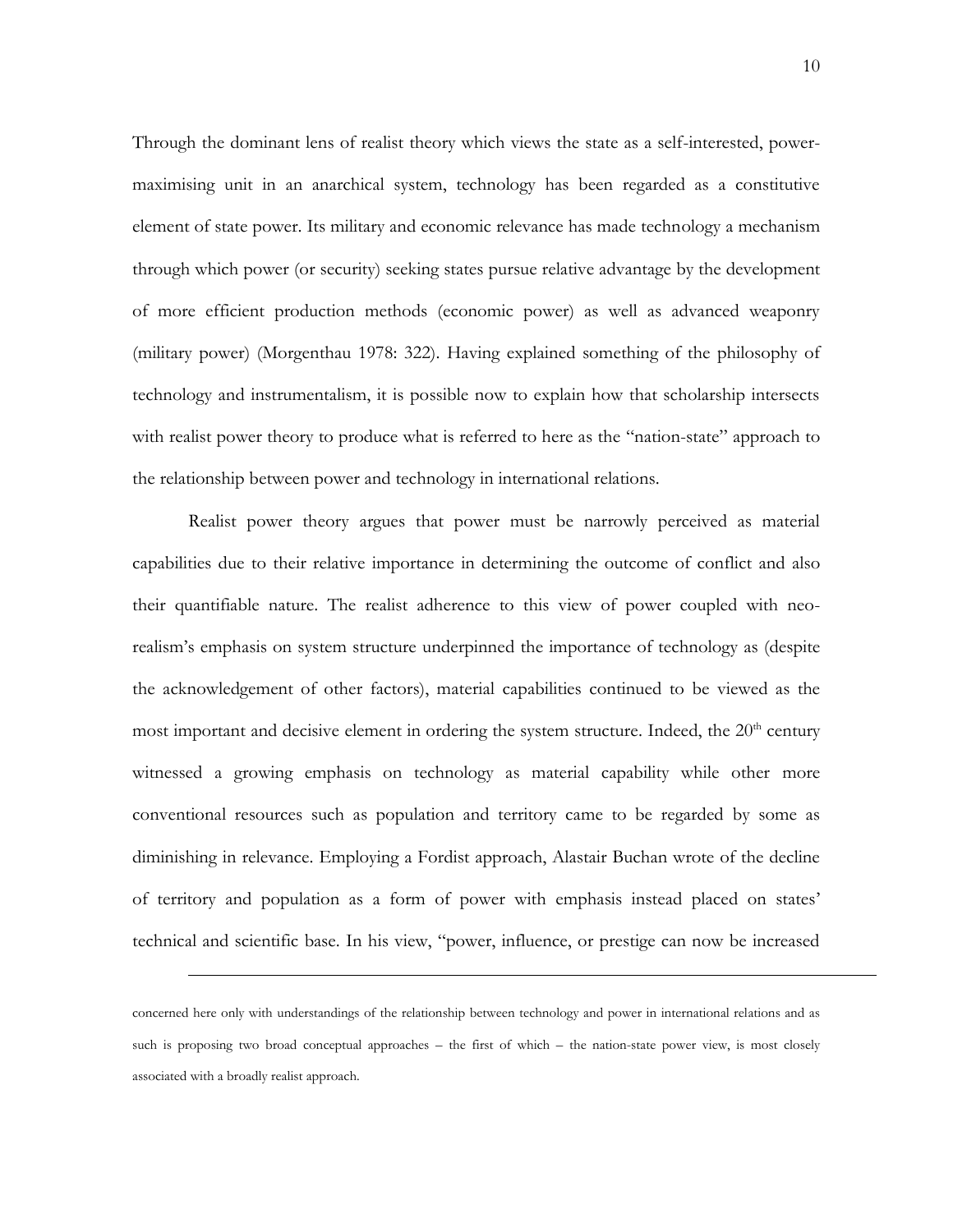Through the dominant lens of realist theory which views the state as a self-interested, powermaximising unit in an anarchical system, technology has been regarded as a constitutive element of state power. Its military and economic relevance has made technology a mechanism through which power (or security) seeking states pursue relative advantage by the development of more efficient production methods (economic power) as well as advanced weaponry (military power) (Morgenthau 1978: 322). Having explained something of the philosophy of technology and instrumentalism, it is possible now to explain how that scholarship intersects with realist power theory to produce what is referred to here as the "nation-state" approach to the relationship between power and technology in international relations.

Realist power theory argues that power must be narrowly perceived as material capabilities due to their relative importance in determining the outcome of conflict and also their quantifiable nature. The realist adherence to this view of power coupled with neorealism's emphasis on system structure underpinned the importance of technology as (despite the acknowledgement of other factors), material capabilities continued to be viewed as the most important and decisive element in ordering the system structure. Indeed, the  $20<sup>th</sup>$  century witnessed a growing emphasis on technology as material capability while other more conventional resources such as population and territory came to be regarded by some as diminishing in relevance. Employing a Fordist approach, Alastair Buchan wrote of the decline of territory and population as a form of power with emphasis instead placed on states' technical and scientific base. In his view, "power, influence, or prestige can now be increased

-

concerned here only with understandings of the relationship between technology and power in international relations and as such is proposing two broad conceptual approaches – the first of which – the nation-state power view, is most closely associated with a broadly realist approach.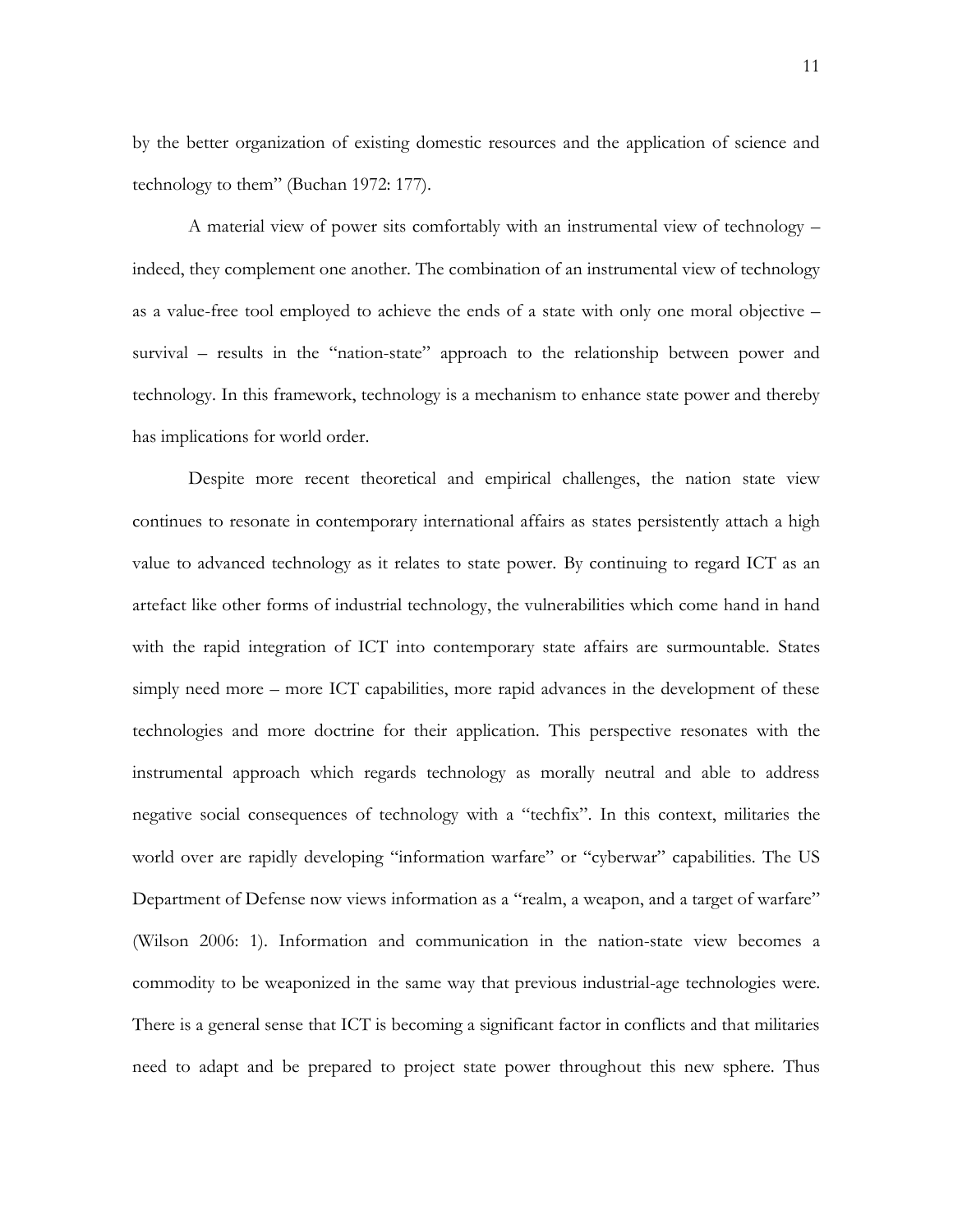by the better organization of existing domestic resources and the application of science and technology to them" (Buchan 1972: 177).

A material view of power sits comfortably with an instrumental view of technology – indeed, they complement one another. The combination of an instrumental view of technology as a value-free tool employed to achieve the ends of a state with only one moral objective – survival – results in the "nation-state" approach to the relationship between power and technology. In this framework, technology is a mechanism to enhance state power and thereby has implications for world order.

Despite more recent theoretical and empirical challenges, the nation state view continues to resonate in contemporary international affairs as states persistently attach a high value to advanced technology as it relates to state power. By continuing to regard ICT as an artefact like other forms of industrial technology, the vulnerabilities which come hand in hand with the rapid integration of ICT into contemporary state affairs are surmountable. States simply need more – more ICT capabilities, more rapid advances in the development of these technologies and more doctrine for their application. This perspective resonates with the instrumental approach which regards technology as morally neutral and able to address negative social consequences of technology with a "techfix". In this context, militaries the world over are rapidly developing "information warfare" or "cyberwar" capabilities. The US Department of Defense now views information as a "realm, a weapon, and a target of warfare" (Wilson 2006: 1). Information and communication in the nation-state view becomes a commodity to be weaponized in the same way that previous industrial-age technologies were. There is a general sense that ICT is becoming a significant factor in conflicts and that militaries need to adapt and be prepared to project state power throughout this new sphere. Thus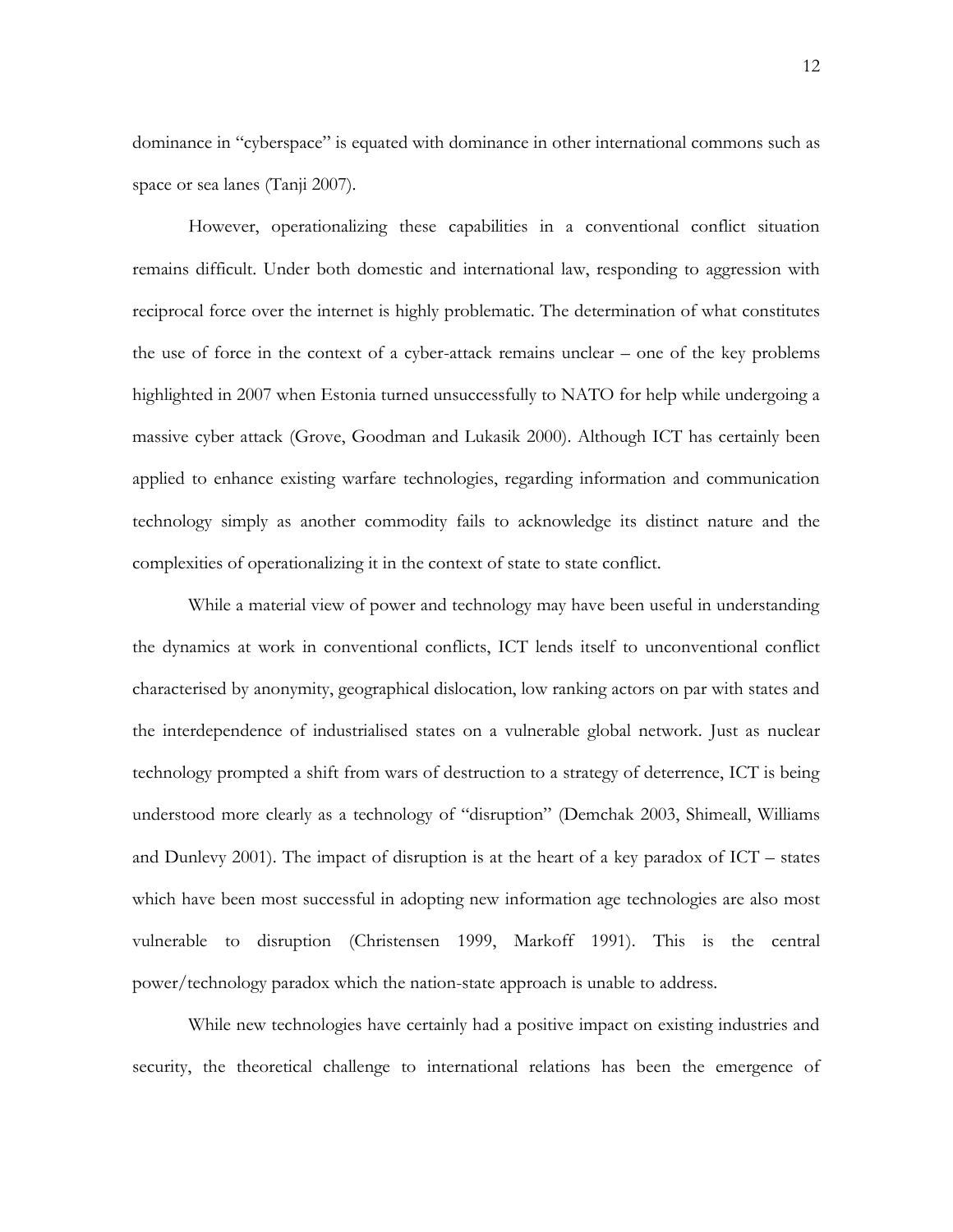dominance in "cyberspace" is equated with dominance in other international commons such as space or sea lanes (Tanji 2007).

However, operationalizing these capabilities in a conventional conflict situation remains difficult. Under both domestic and international law, responding to aggression with reciprocal force over the internet is highly problematic. The determination of what constitutes the use of force in the context of a cyber-attack remains unclear – one of the key problems highlighted in 2007 when Estonia turned unsuccessfully to NATO for help while undergoing a massive cyber attack (Grove, Goodman and Lukasik 2000). Although ICT has certainly been applied to enhance existing warfare technologies, regarding information and communication technology simply as another commodity fails to acknowledge its distinct nature and the complexities of operationalizing it in the context of state to state conflict.

While a material view of power and technology may have been useful in understanding the dynamics at work in conventional conflicts, ICT lends itself to unconventional conflict characterised by anonymity, geographical dislocation, low ranking actors on par with states and the interdependence of industrialised states on a vulnerable global network. Just as nuclear technology prompted a shift from wars of destruction to a strategy of deterrence, ICT is being understood more clearly as a technology of "disruption" (Demchak 2003, Shimeall, Williams and Dunlevy 2001). The impact of disruption is at the heart of a key paradox of ICT – states which have been most successful in adopting new information age technologies are also most vulnerable to disruption (Christensen 1999, Markoff 1991). This is the central power/technology paradox which the nation-state approach is unable to address.

While new technologies have certainly had a positive impact on existing industries and security, the theoretical challenge to international relations has been the emergence of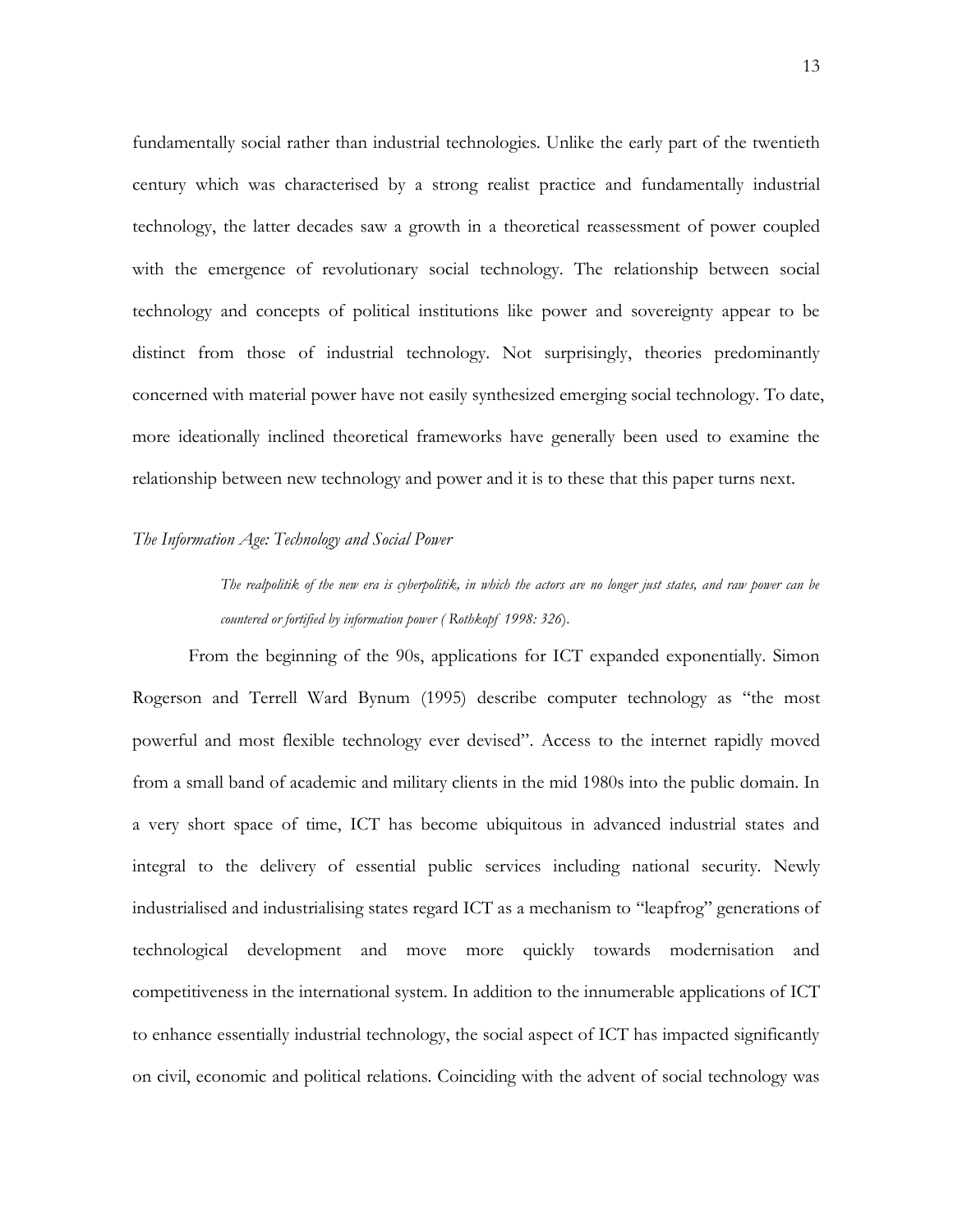fundamentally social rather than industrial technologies. Unlike the early part of the twentieth century which was characterised by a strong realist practice and fundamentally industrial technology, the latter decades saw a growth in a theoretical reassessment of power coupled with the emergence of revolutionary social technology. The relationship between social technology and concepts of political institutions like power and sovereignty appear to be distinct from those of industrial technology. Not surprisingly, theories predominantly concerned with material power have not easily synthesized emerging social technology. To date, more ideationally inclined theoretical frameworks have generally been used to examine the relationship between new technology and power and it is to these that this paper turns next.

# *The Information Age: Technology and Social Power*

*The realpolitik of the new era is cyberpolitik, in which the actors are no longer just states, and raw power can be countered or fortified by information power ( Rothkopf 1998: 326*).

From the beginning of the 90s, applications for ICT expanded exponentially. Simon Rogerson and Terrell Ward Bynum (1995) describe computer technology as "the most powerful and most flexible technology ever devised". Access to the internet rapidly moved from a small band of academic and military clients in the mid 1980s into the public domain. In a very short space of time, ICT has become ubiquitous in advanced industrial states and integral to the delivery of essential public services including national security. Newly industrialised and industrialising states regard ICT as a mechanism to "leapfrog" generations of technological development and move more quickly towards modernisation and competitiveness in the international system. In addition to the innumerable applications of ICT to enhance essentially industrial technology, the social aspect of ICT has impacted significantly on civil, economic and political relations. Coinciding with the advent of social technology was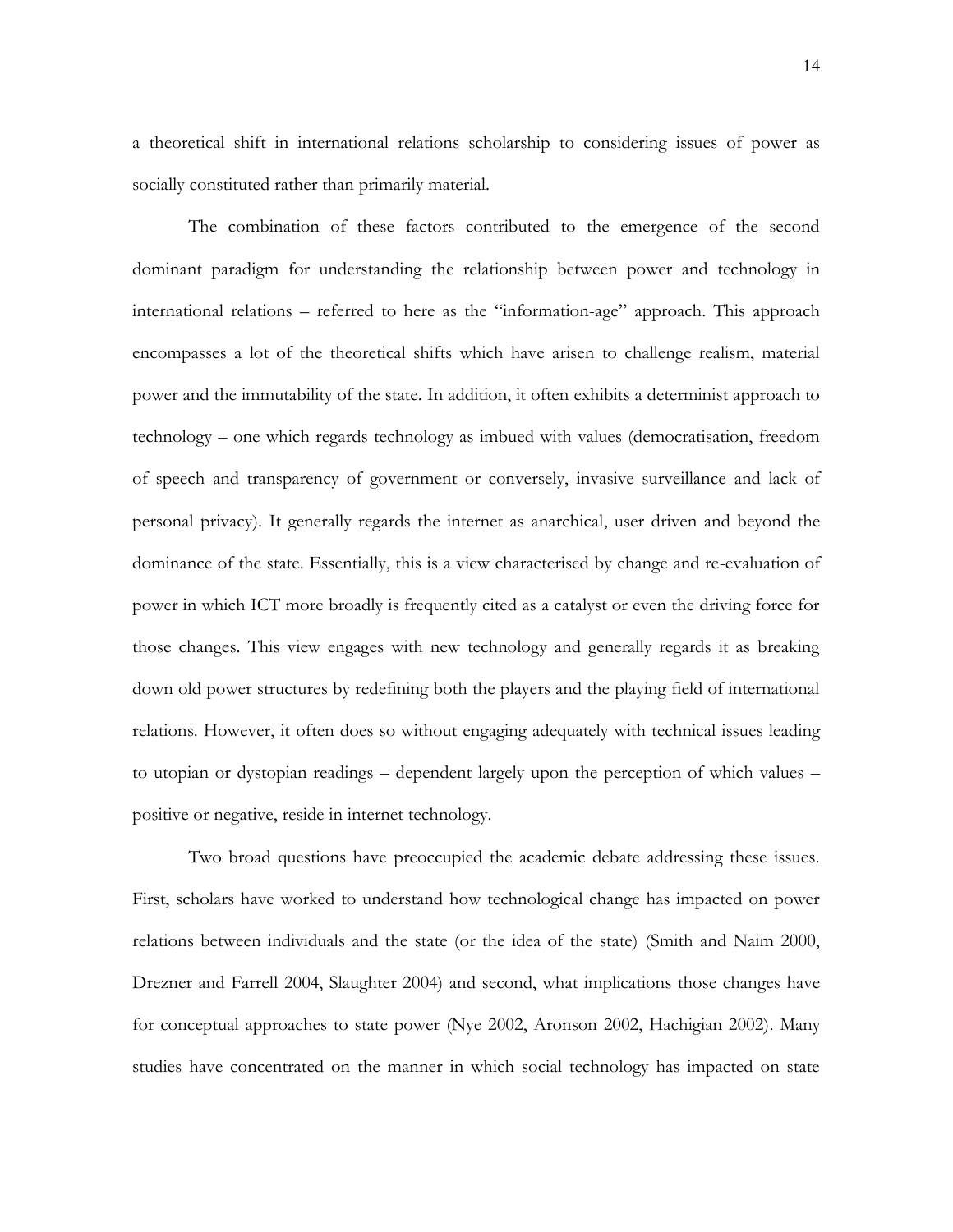a theoretical shift in international relations scholarship to considering issues of power as socially constituted rather than primarily material.

The combination of these factors contributed to the emergence of the second dominant paradigm for understanding the relationship between power and technology in international relations – referred to here as the "information-age" approach. This approach encompasses a lot of the theoretical shifts which have arisen to challenge realism, material power and the immutability of the state. In addition, it often exhibits a determinist approach to technology – one which regards technology as imbued with values (democratisation, freedom of speech and transparency of government or conversely, invasive surveillance and lack of personal privacy). It generally regards the internet as anarchical, user driven and beyond the dominance of the state. Essentially, this is a view characterised by change and re-evaluation of power in which ICT more broadly is frequently cited as a catalyst or even the driving force for those changes. This view engages with new technology and generally regards it as breaking down old power structures by redefining both the players and the playing field of international relations. However, it often does so without engaging adequately with technical issues leading to utopian or dystopian readings – dependent largely upon the perception of which values – positive or negative, reside in internet technology.

Two broad questions have preoccupied the academic debate addressing these issues. First, scholars have worked to understand how technological change has impacted on power relations between individuals and the state (or the idea of the state) (Smith and Naim 2000, Drezner and Farrell 2004, Slaughter 2004) and second, what implications those changes have for conceptual approaches to state power (Nye 2002, Aronson 2002, Hachigian 2002). Many studies have concentrated on the manner in which social technology has impacted on state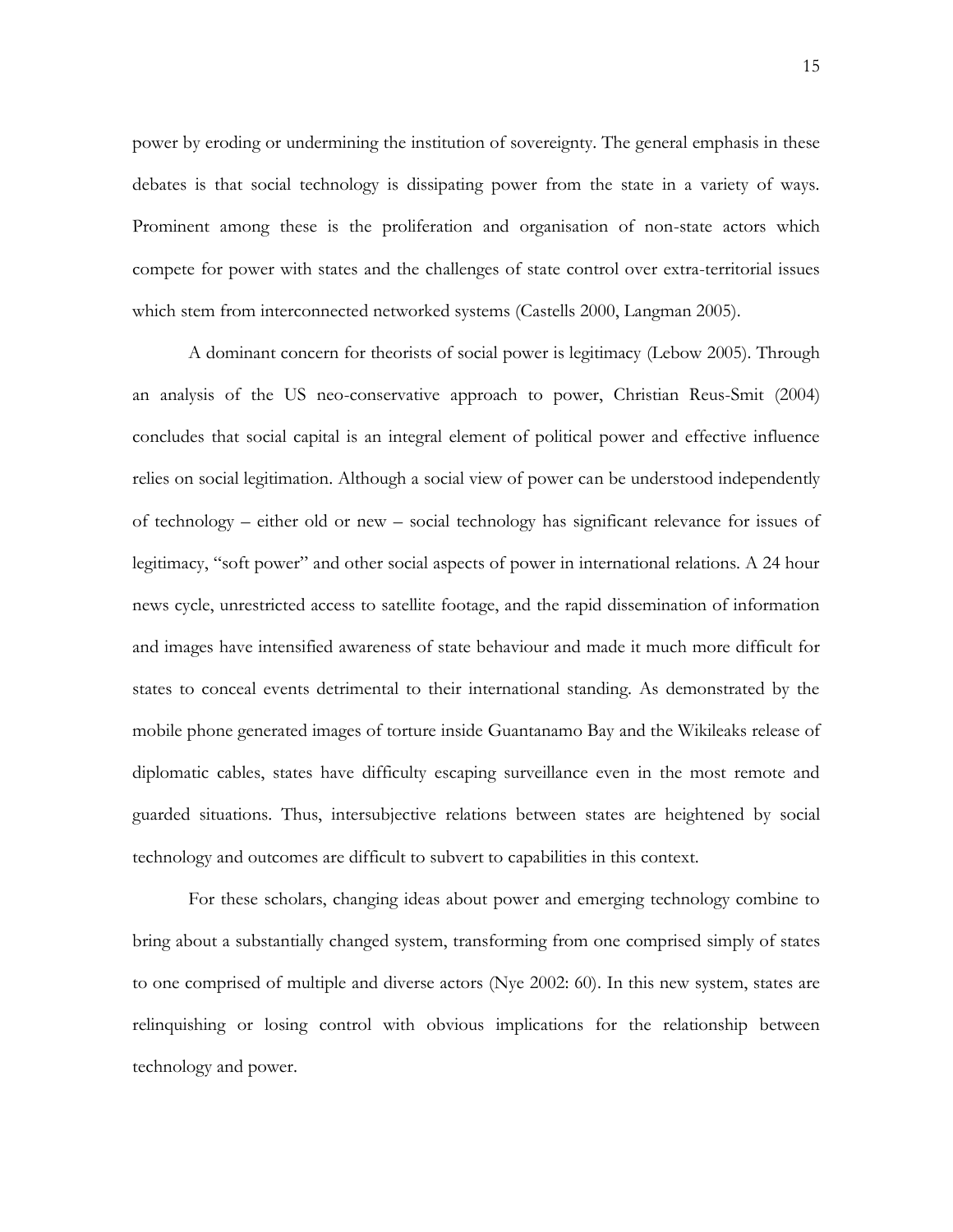power by eroding or undermining the institution of sovereignty. The general emphasis in these debates is that social technology is dissipating power from the state in a variety of ways. Prominent among these is the proliferation and organisation of non-state actors which compete for power with states and the challenges of state control over extra-territorial issues which stem from interconnected networked systems (Castells 2000, Langman 2005).

A dominant concern for theorists of social power is legitimacy (Lebow 2005). Through an analysis of the US neo-conservative approach to power, Christian Reus-Smit (2004) concludes that social capital is an integral element of political power and effective influence relies on social legitimation. Although a social view of power can be understood independently of technology – either old or new – social technology has significant relevance for issues of legitimacy, "soft power" and other social aspects of power in international relations. A 24 hour news cycle, unrestricted access to satellite footage, and the rapid dissemination of information and images have intensified awareness of state behaviour and made it much more difficult for states to conceal events detrimental to their international standing. As demonstrated by the mobile phone generated images of torture inside Guantanamo Bay and the Wikileaks release of diplomatic cables, states have difficulty escaping surveillance even in the most remote and guarded situations. Thus, intersubjective relations between states are heightened by social technology and outcomes are difficult to subvert to capabilities in this context.

For these scholars, changing ideas about power and emerging technology combine to bring about a substantially changed system, transforming from one comprised simply of states to one comprised of multiple and diverse actors (Nye 2002: 60). In this new system, states are relinquishing or losing control with obvious implications for the relationship between technology and power.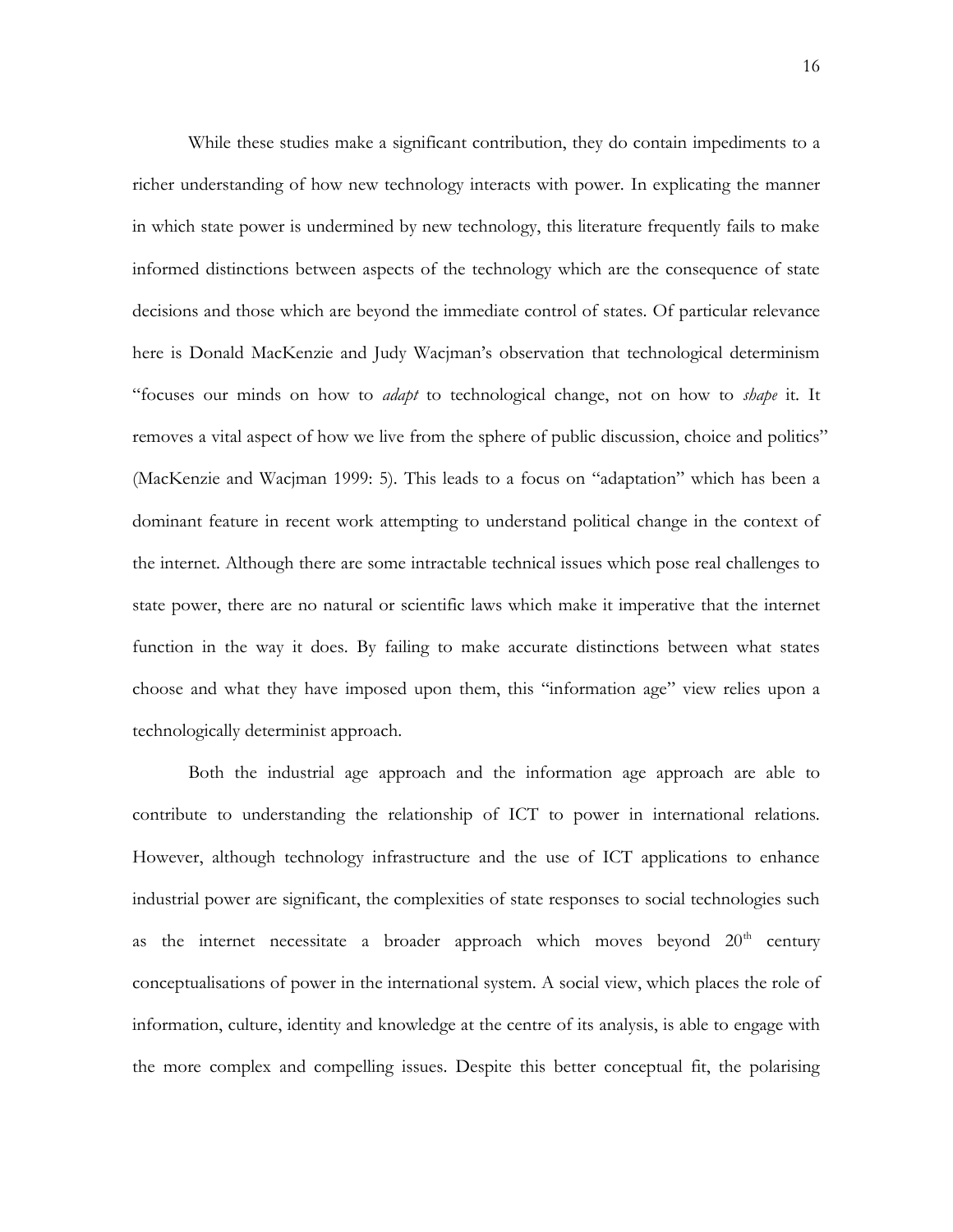While these studies make a significant contribution, they do contain impediments to a richer understanding of how new technology interacts with power. In explicating the manner in which state power is undermined by new technology, this literature frequently fails to make informed distinctions between aspects of the technology which are the consequence of state decisions and those which are beyond the immediate control of states. Of particular relevance here is Donald MacKenzie and Judy Wacjman's observation that technological determinism "focuses our minds on how to *adapt* to technological change, not on how to *shape* it. It removes a vital aspect of how we live from the sphere of public discussion, choice and politics" (MacKenzie and Wacjman 1999: 5). This leads to a focus on "adaptation" which has been a dominant feature in recent work attempting to understand political change in the context of the internet. Although there are some intractable technical issues which pose real challenges to state power, there are no natural or scientific laws which make it imperative that the internet function in the way it does. By failing to make accurate distinctions between what states choose and what they have imposed upon them, this "information age" view relies upon a technologically determinist approach.

Both the industrial age approach and the information age approach are able to contribute to understanding the relationship of ICT to power in international relations. However, although technology infrastructure and the use of ICT applications to enhance industrial power are significant, the complexities of state responses to social technologies such as the internet necessitate a broader approach which moves beyond  $20<sup>th</sup>$  century conceptualisations of power in the international system. A social view, which places the role of information, culture, identity and knowledge at the centre of its analysis, is able to engage with the more complex and compelling issues. Despite this better conceptual fit, the polarising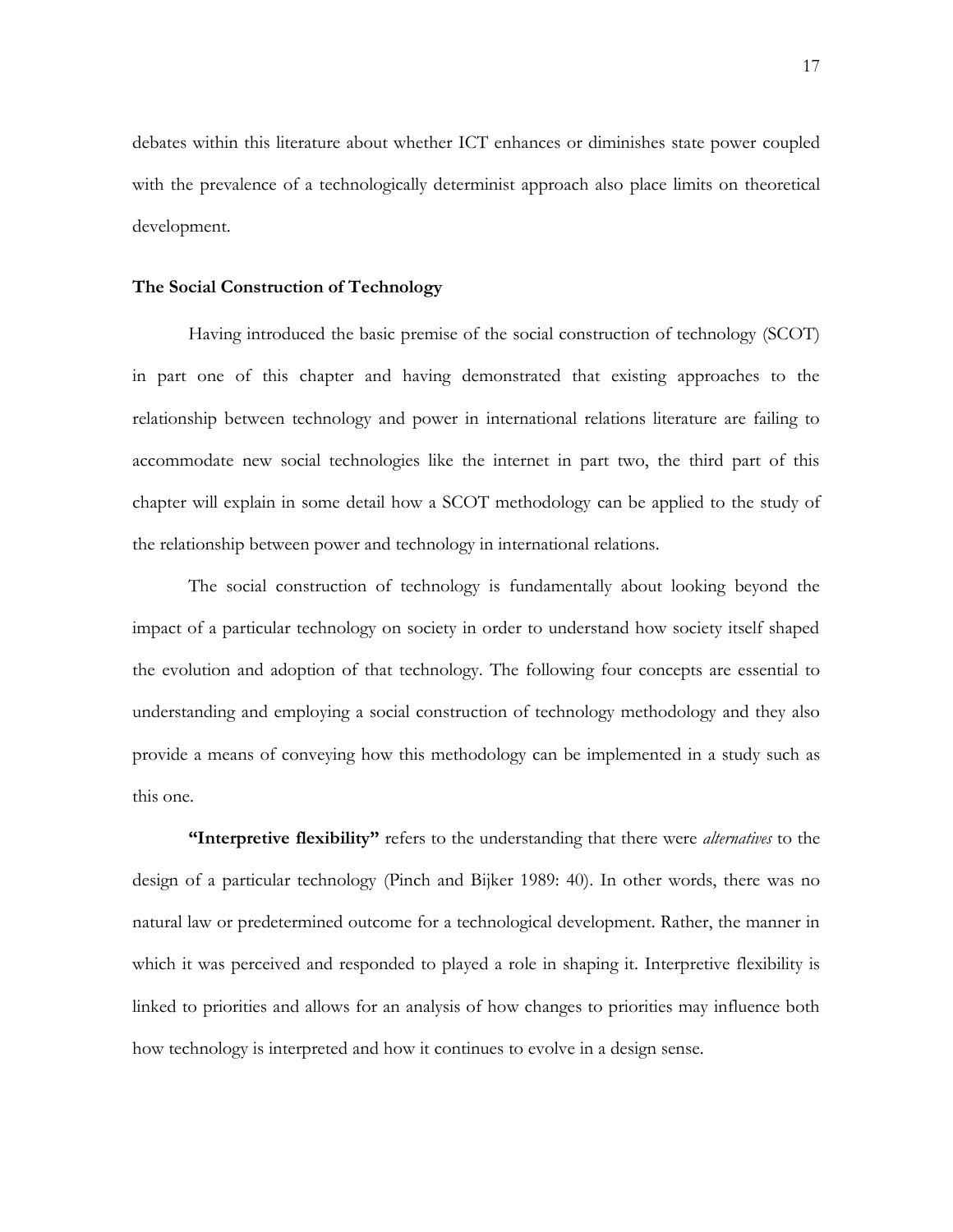debates within this literature about whether ICT enhances or diminishes state power coupled with the prevalence of a technologically determinist approach also place limits on theoretical development.

## **The Social Construction of Technology**

Having introduced the basic premise of the social construction of technology (SCOT) in part one of this chapter and having demonstrated that existing approaches to the relationship between technology and power in international relations literature are failing to accommodate new social technologies like the internet in part two, the third part of this chapter will explain in some detail how a SCOT methodology can be applied to the study of the relationship between power and technology in international relations.

The social construction of technology is fundamentally about looking beyond the impact of a particular technology on society in order to understand how society itself shaped the evolution and adoption of that technology. The following four concepts are essential to understanding and employing a social construction of technology methodology and they also provide a means of conveying how this methodology can be implemented in a study such as this one.

**"Interpretive flexibility"** refers to the understanding that there were *alternatives* to the design of a particular technology (Pinch and Bijker 1989: 40). In other words, there was no natural law or predetermined outcome for a technological development. Rather, the manner in which it was perceived and responded to played a role in shaping it. Interpretive flexibility is linked to priorities and allows for an analysis of how changes to priorities may influence both how technology is interpreted and how it continues to evolve in a design sense.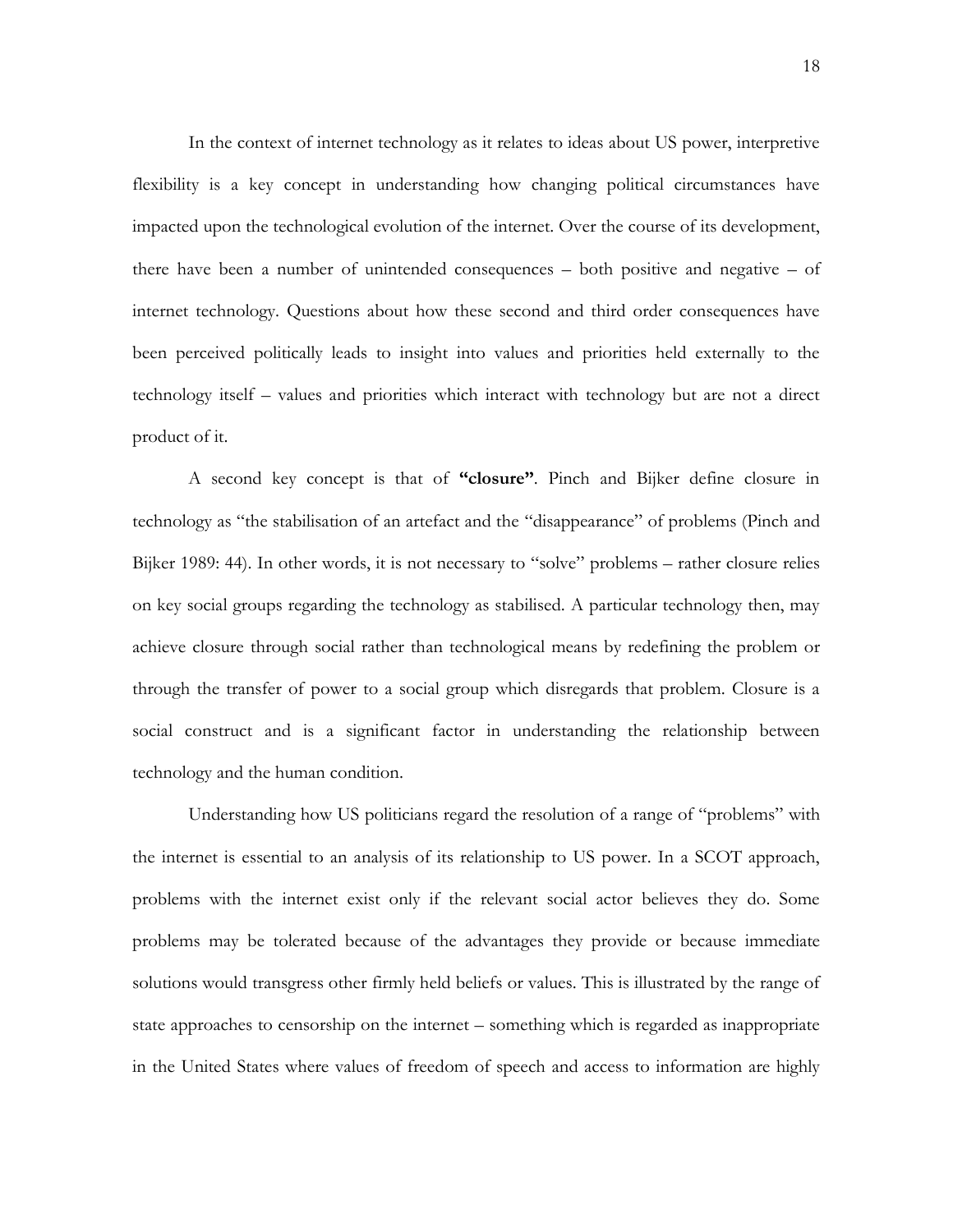In the context of internet technology as it relates to ideas about US power, interpretive flexibility is a key concept in understanding how changing political circumstances have impacted upon the technological evolution of the internet. Over the course of its development, there have been a number of unintended consequences – both positive and negative – of internet technology. Questions about how these second and third order consequences have been perceived politically leads to insight into values and priorities held externally to the technology itself – values and priorities which interact with technology but are not a direct product of it.

A second key concept is that of **"closure"**. Pinch and Bijker define closure in technology as "the stabilisation of an artefact and the "disappearance" of problems (Pinch and Bijker 1989: 44). In other words, it is not necessary to "solve" problems – rather closure relies on key social groups regarding the technology as stabilised. A particular technology then, may achieve closure through social rather than technological means by redefining the problem or through the transfer of power to a social group which disregards that problem. Closure is a social construct and is a significant factor in understanding the relationship between technology and the human condition.

Understanding how US politicians regard the resolution of a range of "problems" with the internet is essential to an analysis of its relationship to US power. In a SCOT approach, problems with the internet exist only if the relevant social actor believes they do. Some problems may be tolerated because of the advantages they provide or because immediate solutions would transgress other firmly held beliefs or values. This is illustrated by the range of state approaches to censorship on the internet – something which is regarded as inappropriate in the United States where values of freedom of speech and access to information are highly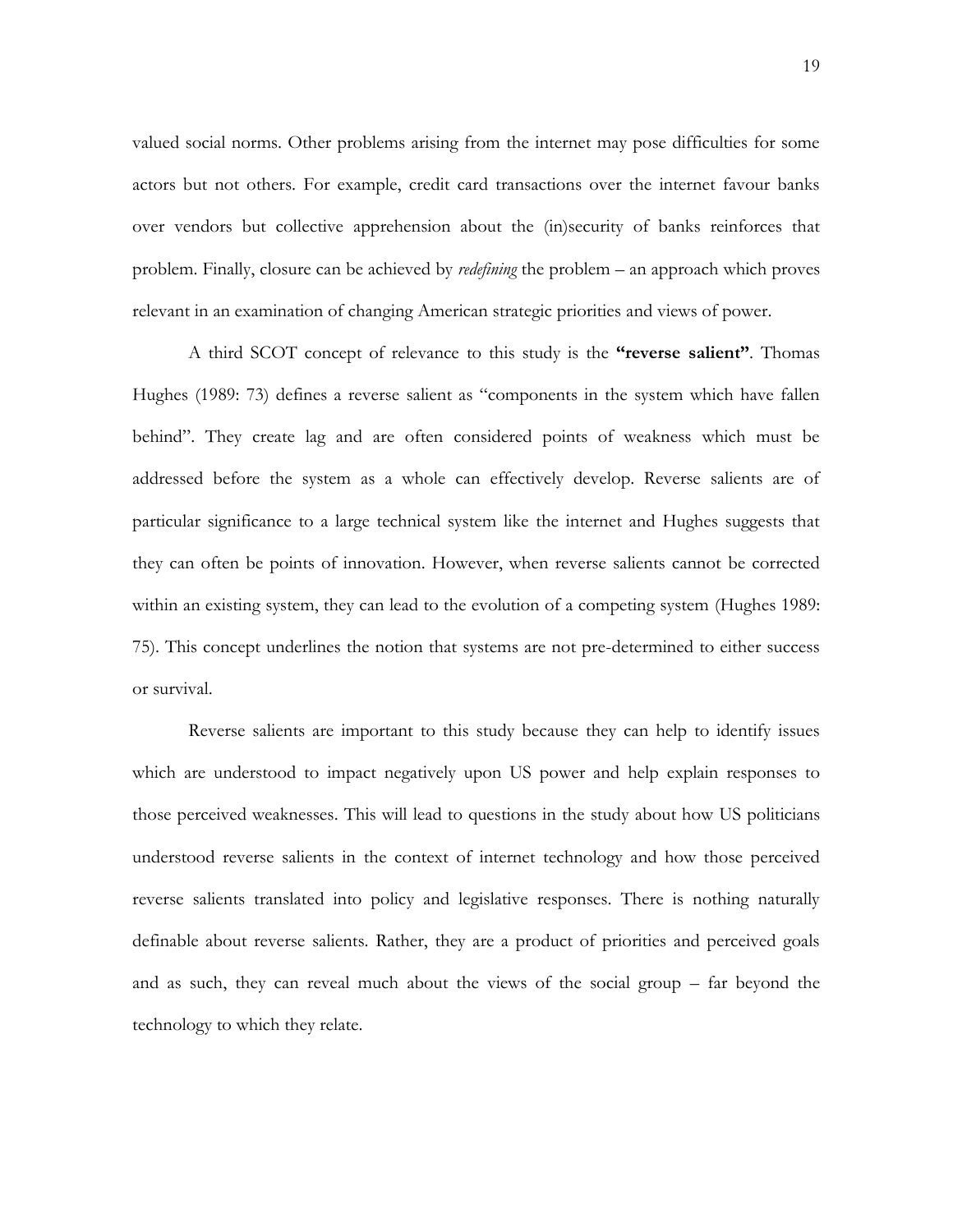valued social norms. Other problems arising from the internet may pose difficulties for some actors but not others. For example, credit card transactions over the internet favour banks over vendors but collective apprehension about the (in)security of banks reinforces that problem. Finally, closure can be achieved by *redefining* the problem – an approach which proves relevant in an examination of changing American strategic priorities and views of power.

A third SCOT concept of relevance to this study is the **"reverse salient"**. Thomas Hughes (1989: 73) defines a reverse salient as "components in the system which have fallen behind". They create lag and are often considered points of weakness which must be addressed before the system as a whole can effectively develop. Reverse salients are of particular significance to a large technical system like the internet and Hughes suggests that they can often be points of innovation. However, when reverse salients cannot be corrected within an existing system, they can lead to the evolution of a competing system (Hughes 1989: 75). This concept underlines the notion that systems are not pre-determined to either success or survival.

Reverse salients are important to this study because they can help to identify issues which are understood to impact negatively upon US power and help explain responses to those perceived weaknesses. This will lead to questions in the study about how US politicians understood reverse salients in the context of internet technology and how those perceived reverse salients translated into policy and legislative responses. There is nothing naturally definable about reverse salients. Rather, they are a product of priorities and perceived goals and as such, they can reveal much about the views of the social group – far beyond the technology to which they relate.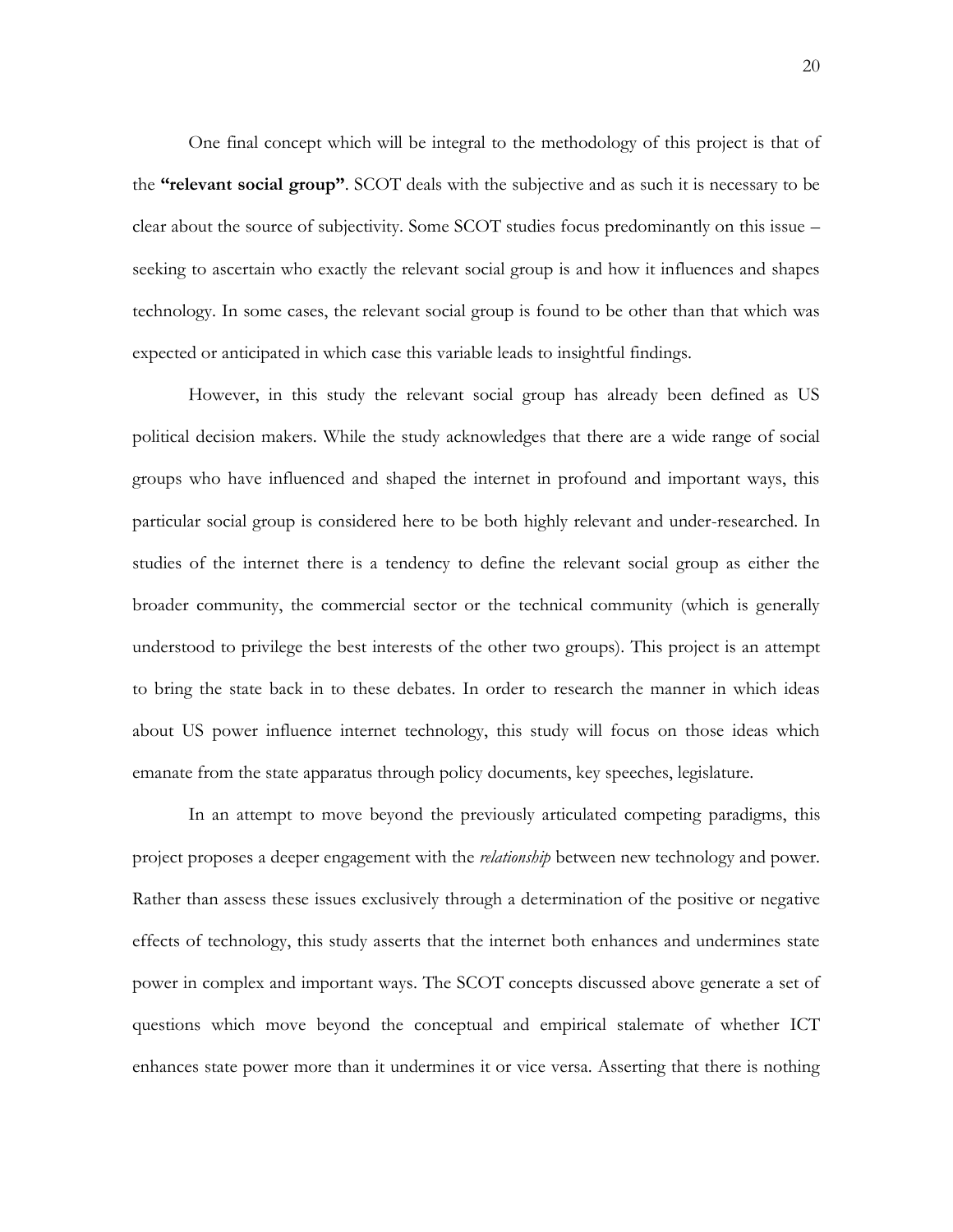One final concept which will be integral to the methodology of this project is that of the **"relevant social group"**. SCOT deals with the subjective and as such it is necessary to be clear about the source of subjectivity. Some SCOT studies focus predominantly on this issue – seeking to ascertain who exactly the relevant social group is and how it influences and shapes technology. In some cases, the relevant social group is found to be other than that which was expected or anticipated in which case this variable leads to insightful findings.

However, in this study the relevant social group has already been defined as US political decision makers. While the study acknowledges that there are a wide range of social groups who have influenced and shaped the internet in profound and important ways, this particular social group is considered here to be both highly relevant and under-researched. In studies of the internet there is a tendency to define the relevant social group as either the broader community, the commercial sector or the technical community (which is generally understood to privilege the best interests of the other two groups). This project is an attempt to bring the state back in to these debates. In order to research the manner in which ideas about US power influence internet technology, this study will focus on those ideas which emanate from the state apparatus through policy documents, key speeches, legislature.

In an attempt to move beyond the previously articulated competing paradigms, this project proposes a deeper engagement with the *relationship* between new technology and power. Rather than assess these issues exclusively through a determination of the positive or negative effects of technology, this study asserts that the internet both enhances and undermines state power in complex and important ways. The SCOT concepts discussed above generate a set of questions which move beyond the conceptual and empirical stalemate of whether ICT enhances state power more than it undermines it or vice versa. Asserting that there is nothing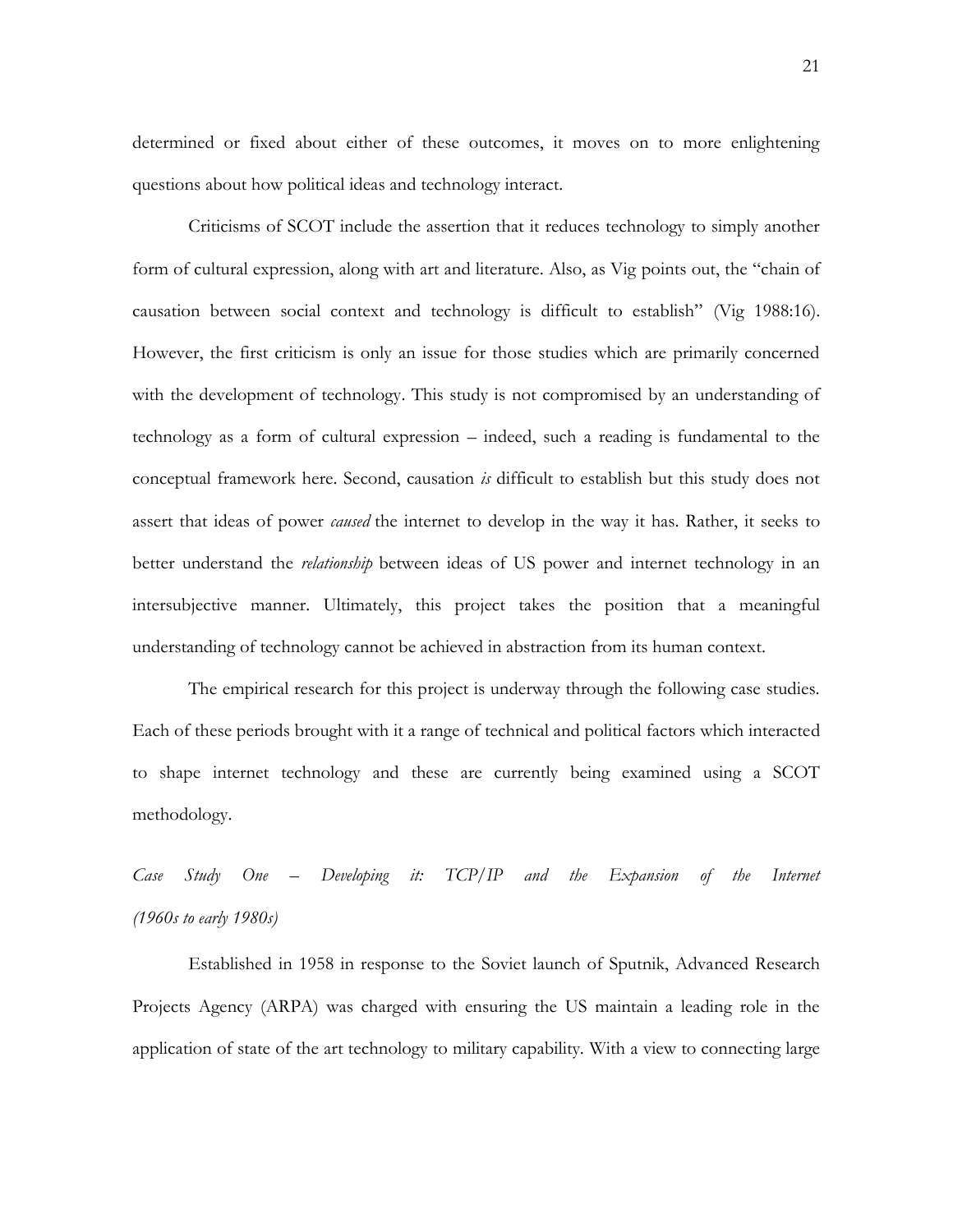determined or fixed about either of these outcomes, it moves on to more enlightening questions about how political ideas and technology interact.

Criticisms of SCOT include the assertion that it reduces technology to simply another form of cultural expression, along with art and literature. Also, as Vig points out, the "chain of causation between social context and technology is difficult to establish" (Vig 1988:16). However, the first criticism is only an issue for those studies which are primarily concerned with the development of technology. This study is not compromised by an understanding of technology as a form of cultural expression – indeed, such a reading is fundamental to the conceptual framework here. Second, causation *is* difficult to establish but this study does not assert that ideas of power *caused* the internet to develop in the way it has. Rather, it seeks to better understand the *relationship* between ideas of US power and internet technology in an intersubjective manner. Ultimately, this project takes the position that a meaningful understanding of technology cannot be achieved in abstraction from its human context.

The empirical research for this project is underway through the following case studies. Each of these periods brought with it a range of technical and political factors which interacted to shape internet technology and these are currently being examined using a SCOT methodology.

*Case Study One – Developing it: TCP/IP and the Expansion of the Internet (1960s to early 1980s)*

Established in 1958 in response to the Soviet launch of Sputnik, Advanced Research Projects Agency (ARPA) was charged with ensuring the US maintain a leading role in the application of state of the art technology to military capability. With a view to connecting large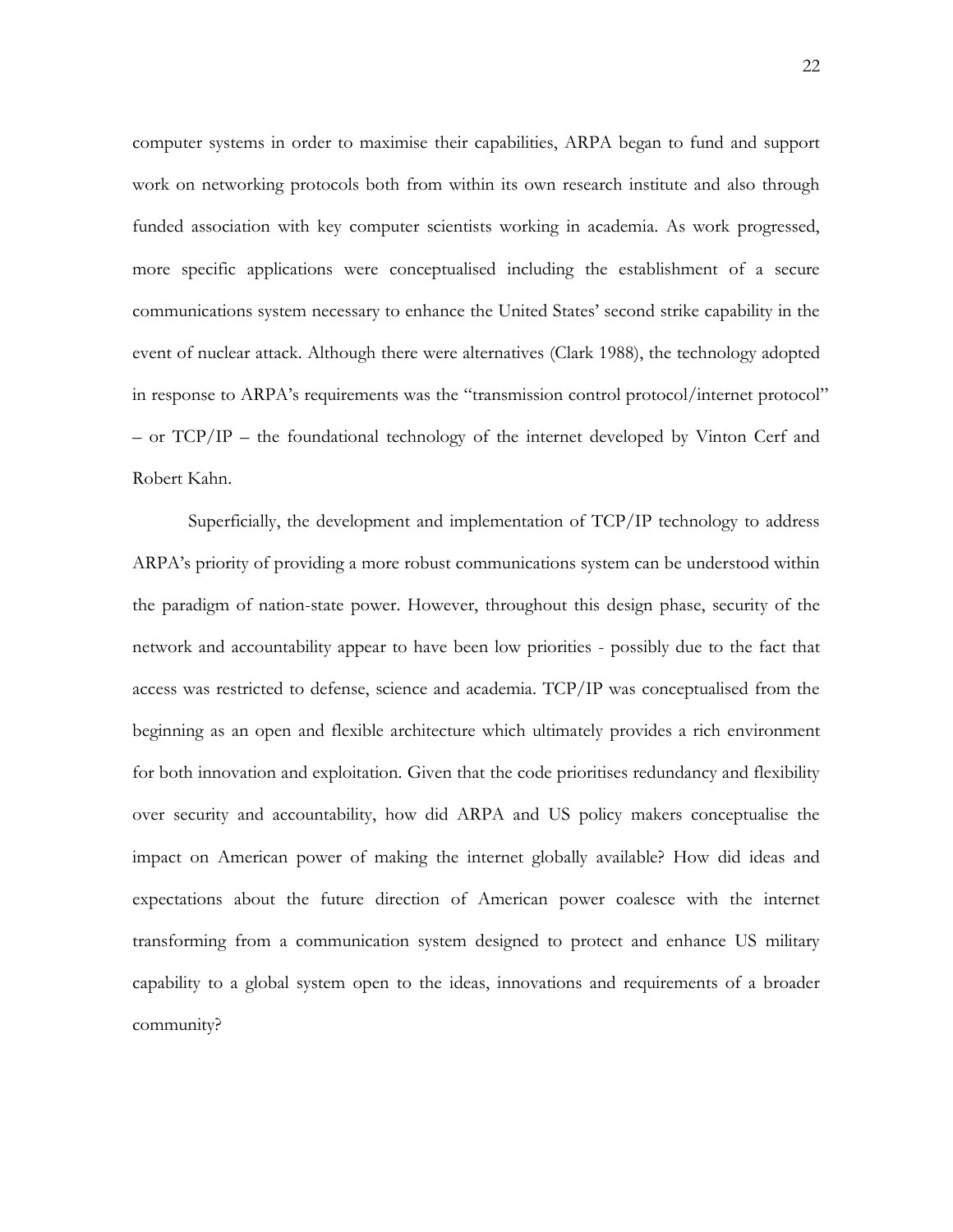computer systems in order to maximise their capabilities, ARPA began to fund and support work on networking protocols both from within its own research institute and also through funded association with key computer scientists working in academia. As work progressed, more specific applications were conceptualised including the establishment of a secure communications system necessary to enhance the United States' second strike capability in the event of nuclear attack. Although there were alternatives (Clark 1988), the technology adopted in response to ARPA's requirements was the "transmission control protocol/internet protocol" – or TCP/IP – the foundational technology of the internet developed by Vinton Cerf and Robert Kahn.

Superficially, the development and implementation of TCP/IP technology to address ARPA's priority of providing a more robust communications system can be understood within the paradigm of nation-state power. However, throughout this design phase, security of the network and accountability appear to have been low priorities - possibly due to the fact that access was restricted to defense, science and academia. TCP/IP was conceptualised from the beginning as an open and flexible architecture which ultimately provides a rich environment for both innovation and exploitation. Given that the code prioritises redundancy and flexibility over security and accountability, how did ARPA and US policy makers conceptualise the impact on American power of making the internet globally available? How did ideas and expectations about the future direction of American power coalesce with the internet transforming from a communication system designed to protect and enhance US military capability to a global system open to the ideas, innovations and requirements of a broader community?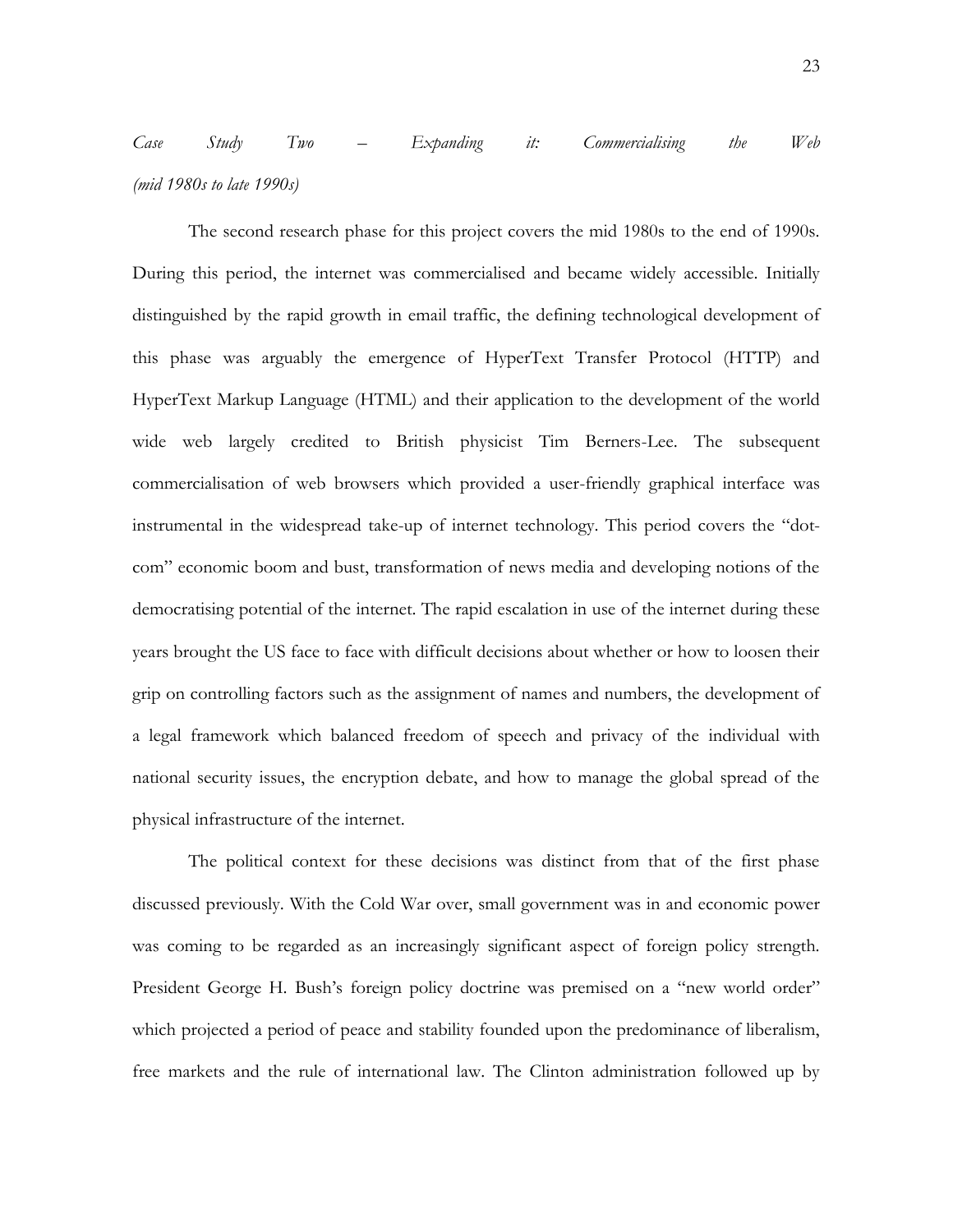# *Case Study Two – Expanding it: Commercialising the Web (mid 1980s to late 1990s)*

The second research phase for this project covers the mid 1980s to the end of 1990s. During this period, the internet was commercialised and became widely accessible. Initially distinguished by the rapid growth in email traffic, the defining technological development of this phase was arguably the emergence of HyperText Transfer Protocol (HTTP) and HyperText Markup Language (HTML) and their application to the development of the world wide web largely credited to British physicist Tim Berners-Lee. The subsequent commercialisation of web browsers which provided a user-friendly graphical interface was instrumental in the widespread take-up of internet technology. This period covers the "dotcom" economic boom and bust, transformation of news media and developing notions of the democratising potential of the internet. The rapid escalation in use of the internet during these years brought the US face to face with difficult decisions about whether or how to loosen their grip on controlling factors such as the assignment of names and numbers, the development of a legal framework which balanced freedom of speech and privacy of the individual with national security issues, the encryption debate, and how to manage the global spread of the physical infrastructure of the internet.

The political context for these decisions was distinct from that of the first phase discussed previously. With the Cold War over, small government was in and economic power was coming to be regarded as an increasingly significant aspect of foreign policy strength. President George H. Bush's foreign policy doctrine was premised on a "new world order" which projected a period of peace and stability founded upon the predominance of liberalism, free markets and the rule of international law. The Clinton administration followed up by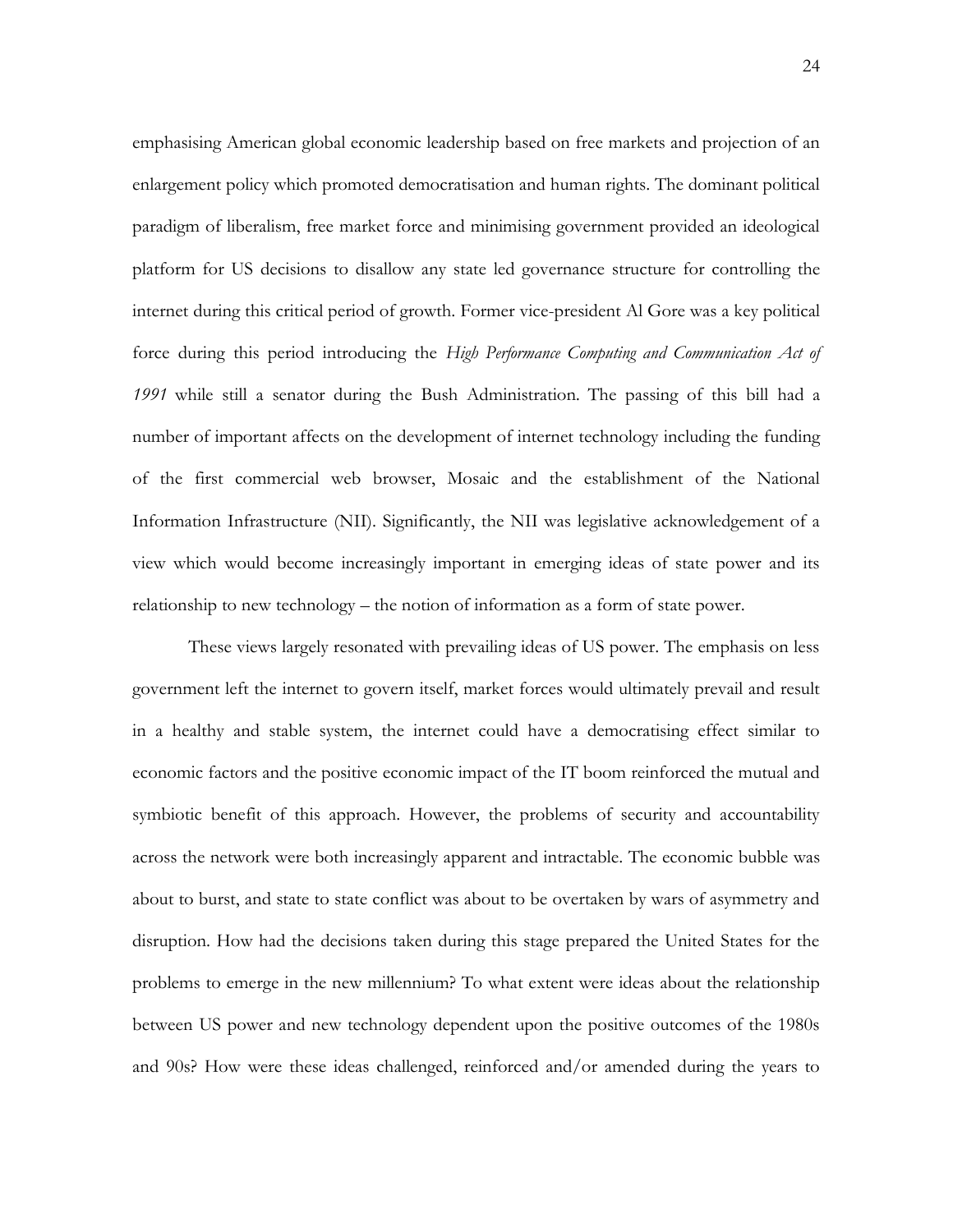emphasising American global economic leadership based on free markets and projection of an enlargement policy which promoted democratisation and human rights. The dominant political paradigm of liberalism, free market force and minimising government provided an ideological platform for US decisions to disallow any state led governance structure for controlling the internet during this critical period of growth. Former vice-president Al Gore was a key political force during this period introducing the *High Performance Computing and Communication Act of 1991* while still a senator during the Bush Administration*.* The passing of this bill had a number of important affects on the development of internet technology including the funding of the first commercial web browser, Mosaic and the establishment of the National Information Infrastructure (NII). Significantly, the NII was legislative acknowledgement of a view which would become increasingly important in emerging ideas of state power and its relationship to new technology – the notion of information as a form of state power.

These views largely resonated with prevailing ideas of US power. The emphasis on less government left the internet to govern itself, market forces would ultimately prevail and result in a healthy and stable system, the internet could have a democratising effect similar to economic factors and the positive economic impact of the IT boom reinforced the mutual and symbiotic benefit of this approach. However, the problems of security and accountability across the network were both increasingly apparent and intractable. The economic bubble was about to burst, and state to state conflict was about to be overtaken by wars of asymmetry and disruption. How had the decisions taken during this stage prepared the United States for the problems to emerge in the new millennium? To what extent were ideas about the relationship between US power and new technology dependent upon the positive outcomes of the 1980s and 90s? How were these ideas challenged, reinforced and/or amended during the years to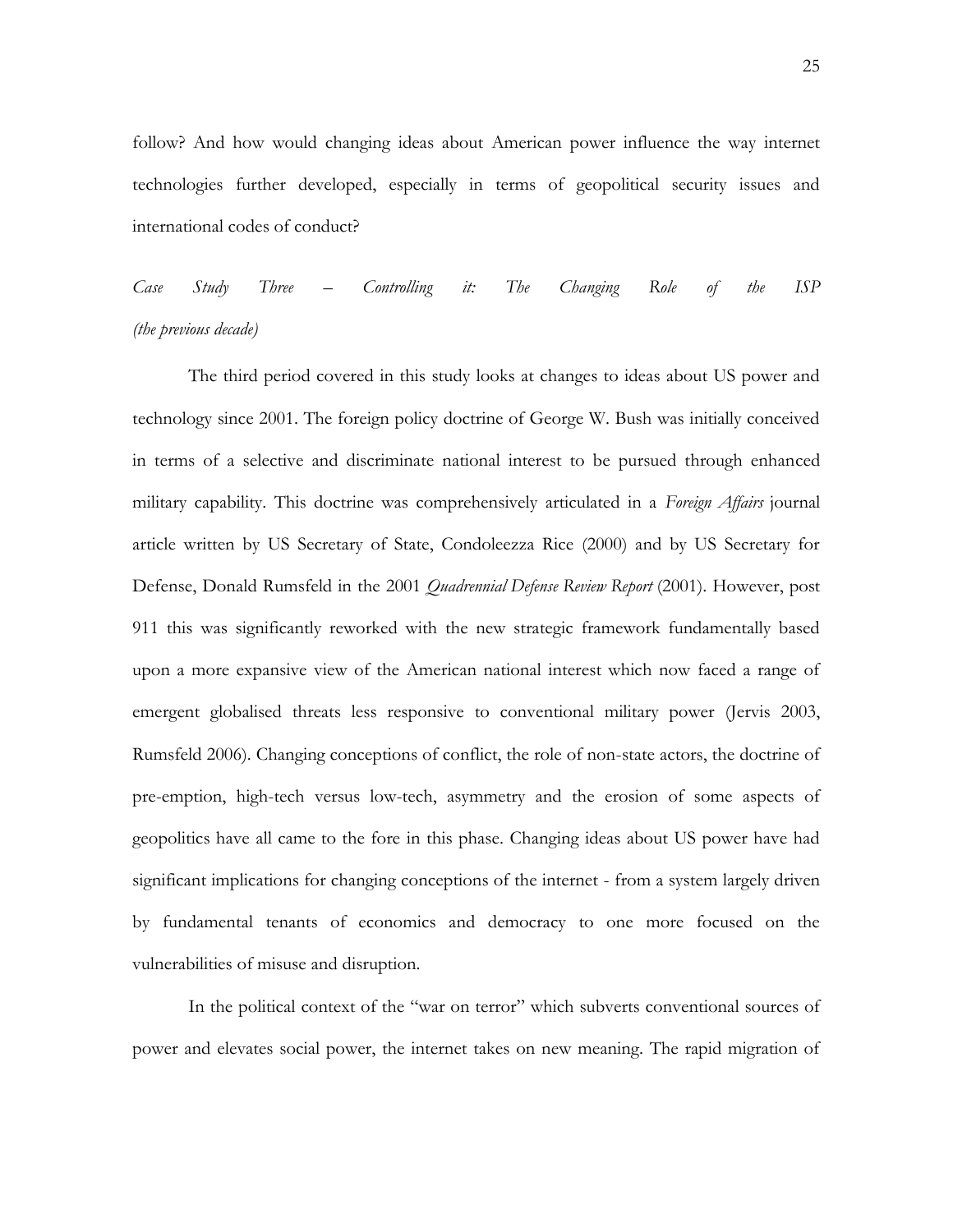follow? And how would changing ideas about American power influence the way internet technologies further developed, especially in terms of geopolitical security issues and international codes of conduct?

*Case Study Three – Controlling it: The Changing Role of the ISP (the previous decade)*

The third period covered in this study looks at changes to ideas about US power and technology since 2001. The foreign policy doctrine of George W. Bush was initially conceived in terms of a selective and discriminate national interest to be pursued through enhanced military capability. This doctrine was comprehensively articulated in a *Foreign Affairs* journal article written by US Secretary of State, Condoleezza Rice (2000) and by US Secretary for Defense, Donald Rumsfeld in the 2001 *Quadrennial Defense Review Report* (2001). However, post 911 this was significantly reworked with the new strategic framework fundamentally based upon a more expansive view of the American national interest which now faced a range of emergent globalised threats less responsive to conventional military power (Jervis 2003, Rumsfeld 2006). Changing conceptions of conflict, the role of non-state actors, the doctrine of pre-emption, high-tech versus low-tech, asymmetry and the erosion of some aspects of geopolitics have all came to the fore in this phase. Changing ideas about US power have had significant implications for changing conceptions of the internet - from a system largely driven by fundamental tenants of economics and democracy to one more focused on the vulnerabilities of misuse and disruption.

In the political context of the "war on terror" which subverts conventional sources of power and elevates social power, the internet takes on new meaning. The rapid migration of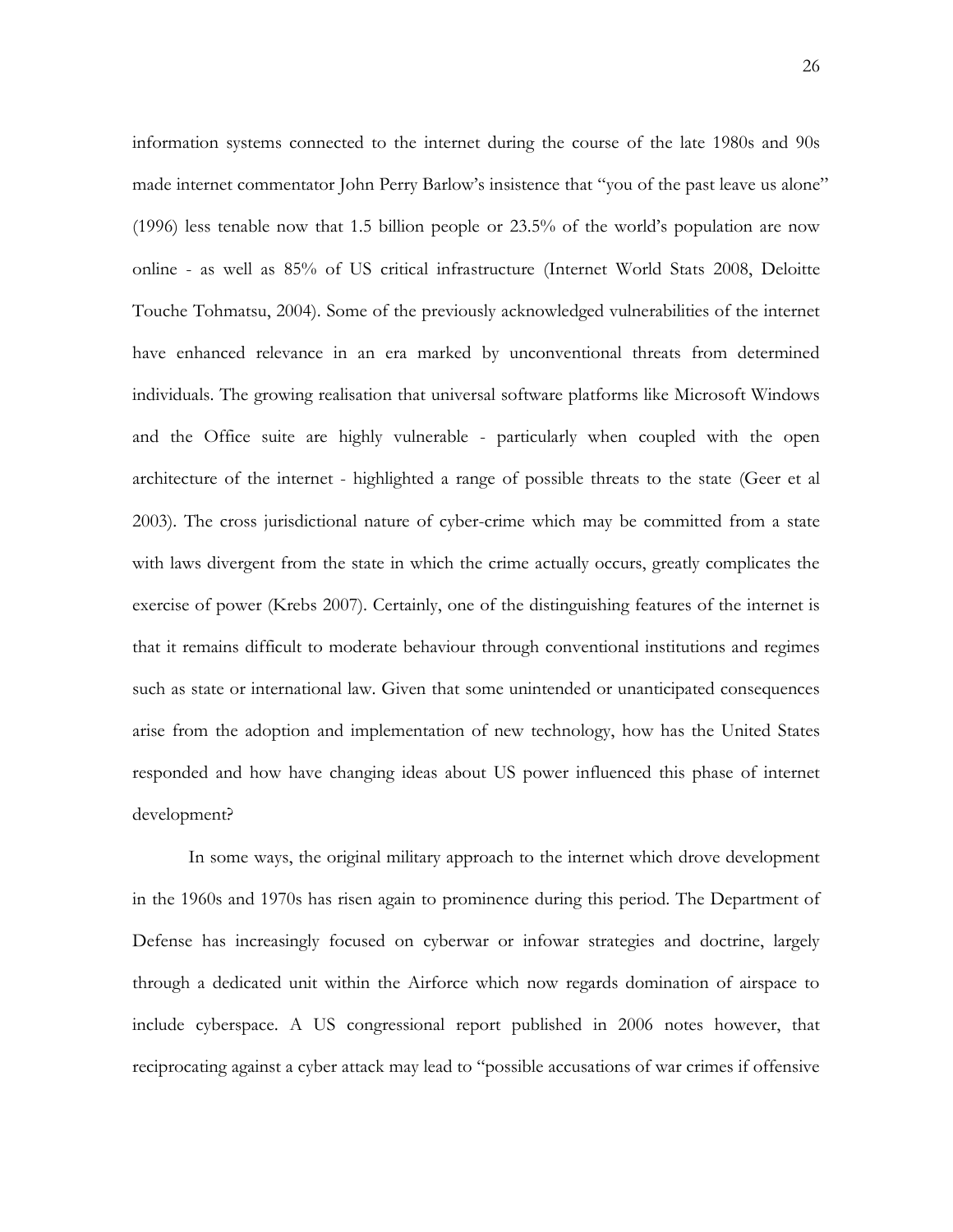information systems connected to the internet during the course of the late 1980s and 90s made internet commentator John Perry Barlow's insistence that "you of the past leave us alone" (1996) less tenable now that 1.5 billion people or 23.5% of the world's population are now online - as well as 85% of US critical infrastructure (Internet World Stats 2008, Deloitte Touche Tohmatsu, 2004). Some of the previously acknowledged vulnerabilities of the internet have enhanced relevance in an era marked by unconventional threats from determined individuals. The growing realisation that universal software platforms like Microsoft Windows and the Office suite are highly vulnerable - particularly when coupled with the open architecture of the internet - highlighted a range of possible threats to the state (Geer et al 2003). The cross jurisdictional nature of cyber-crime which may be committed from a state with laws divergent from the state in which the crime actually occurs, greatly complicates the exercise of power (Krebs 2007). Certainly, one of the distinguishing features of the internet is that it remains difficult to moderate behaviour through conventional institutions and regimes such as state or international law. Given that some unintended or unanticipated consequences arise from the adoption and implementation of new technology, how has the United States responded and how have changing ideas about US power influenced this phase of internet development?

In some ways, the original military approach to the internet which drove development in the 1960s and 1970s has risen again to prominence during this period. The Department of Defense has increasingly focused on cyberwar or infowar strategies and doctrine, largely through a dedicated unit within the Airforce which now regards domination of airspace to include cyberspace. A US congressional report published in 2006 notes however, that reciprocating against a cyber attack may lead to "possible accusations of war crimes if offensive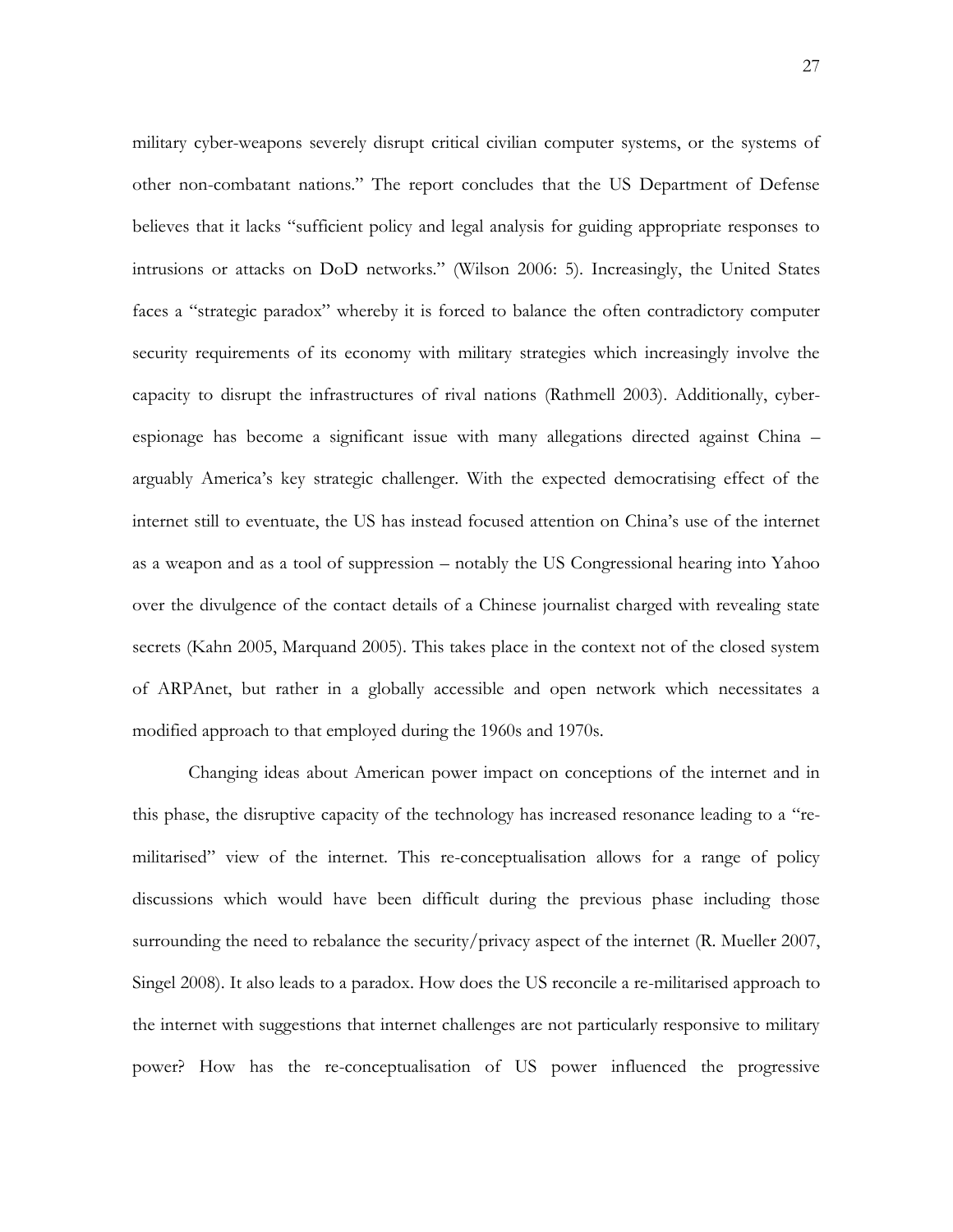military cyber-weapons severely disrupt critical civilian computer systems, or the systems of other non-combatant nations." The report concludes that the US Department of Defense believes that it lacks "sufficient policy and legal analysis for guiding appropriate responses to intrusions or attacks on DoD networks." (Wilson 2006: 5). Increasingly, the United States faces a "strategic paradox" whereby it is forced to balance the often contradictory computer security requirements of its economy with military strategies which increasingly involve the capacity to disrupt the infrastructures of rival nations (Rathmell 2003). Additionally, cyberespionage has become a significant issue with many allegations directed against China – arguably America's key strategic challenger. With the expected democratising effect of the internet still to eventuate, the US has instead focused attention on China's use of the internet as a weapon and as a tool of suppression – notably the US Congressional hearing into Yahoo over the divulgence of the contact details of a Chinese journalist charged with revealing state secrets (Kahn 2005, Marquand 2005). This takes place in the context not of the closed system of ARPAnet, but rather in a globally accessible and open network which necessitates a modified approach to that employed during the 1960s and 1970s.

Changing ideas about American power impact on conceptions of the internet and in this phase, the disruptive capacity of the technology has increased resonance leading to a "remilitarised" view of the internet. This re-conceptualisation allows for a range of policy discussions which would have been difficult during the previous phase including those surrounding the need to rebalance the security/privacy aspect of the internet (R. Mueller 2007, Singel 2008). It also leads to a paradox. How does the US reconcile a re-militarised approach to the internet with suggestions that internet challenges are not particularly responsive to military power? How has the re-conceptualisation of US power influenced the progressive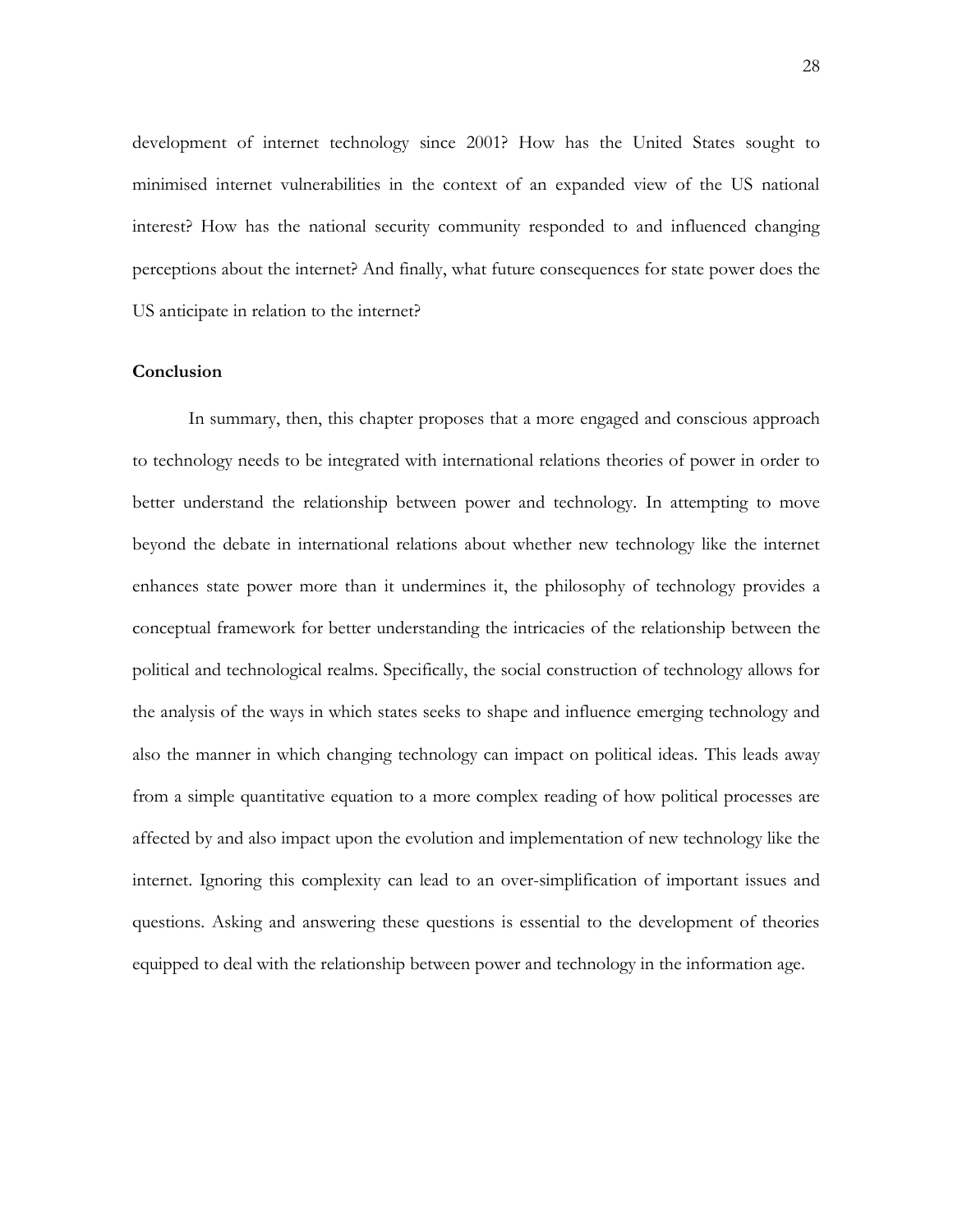development of internet technology since 2001? How has the United States sought to minimised internet vulnerabilities in the context of an expanded view of the US national interest? How has the national security community responded to and influenced changing perceptions about the internet? And finally, what future consequences for state power does the US anticipate in relation to the internet?

# **Conclusion**

In summary, then, this chapter proposes that a more engaged and conscious approach to technology needs to be integrated with international relations theories of power in order to better understand the relationship between power and technology. In attempting to move beyond the debate in international relations about whether new technology like the internet enhances state power more than it undermines it, the philosophy of technology provides a conceptual framework for better understanding the intricacies of the relationship between the political and technological realms. Specifically, the social construction of technology allows for the analysis of the ways in which states seeks to shape and influence emerging technology and also the manner in which changing technology can impact on political ideas. This leads away from a simple quantitative equation to a more complex reading of how political processes are affected by and also impact upon the evolution and implementation of new technology like the internet. Ignoring this complexity can lead to an over-simplification of important issues and questions. Asking and answering these questions is essential to the development of theories equipped to deal with the relationship between power and technology in the information age.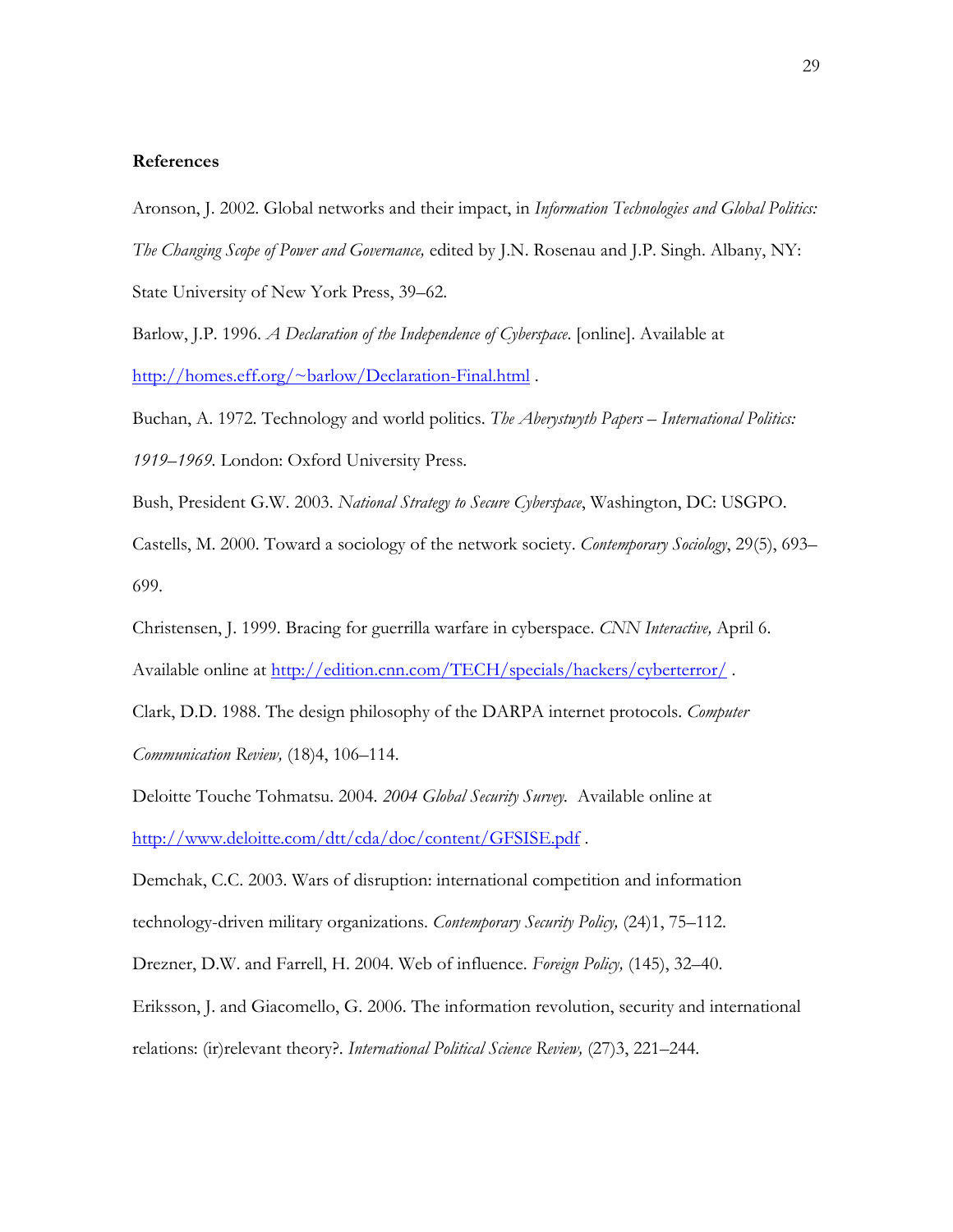## **References**

Aronson, J. 2002. Global networks and their impact, in *Information Technologies and Global Politics: The Changing Scope of Power and Governance,* edited by J.N. Rosenau and J.P. Singh. Albany, NY: State University of New York Press, 39–62.

Barlow, J.P. 1996. *A Declaration of the Independence of Cyberspace*. [online]. Available at <http://homes.eff.org/~barlow/Declaration-Final.html> .

Buchan, A. 1972. Technology and world politics. *The Aberystwyth Papers – International Politics: 1919*–*1969.* London: Oxford University Press.

Bush, President G.W. 2003. *National Strategy to Secure Cyberspace*, Washington, DC: USGPO.

Castells, M. 2000. Toward a sociology of the network society. *Contemporary Sociology*, 29(5), 693– 699.

Christensen, J. 1999. Bracing for guerrilla warfare in cyberspace. *CNN Interactive,* April 6.

Available online at<http://edition.cnn.com/TECH/specials/hackers/cyberterror/> .

Clark, D.D. 1988. The design philosophy of the DARPA internet protocols. *Computer Communication Review,* (18)4, 106–114.

Deloitte Touche Tohmatsu. 2004. *2004 Global Security Survey.* Available online at <http://www.deloitte.com/dtt/cda/doc/content/GFSISE.pdf> .

Demchak, C.C. 2003. Wars of disruption: international competition and information technology-driven military organizations. *Contemporary Security Policy,* (24)1, 75–112.

Drezner, D.W. and Farrell, H. 2004. Web of influence. *Foreign Policy,* (145), 32–40.

Eriksson, J. and Giacomello, G. 2006. The information revolution, security and international relations: (ir)relevant theory?. *International Political Science Review,* (27)3, 221–244.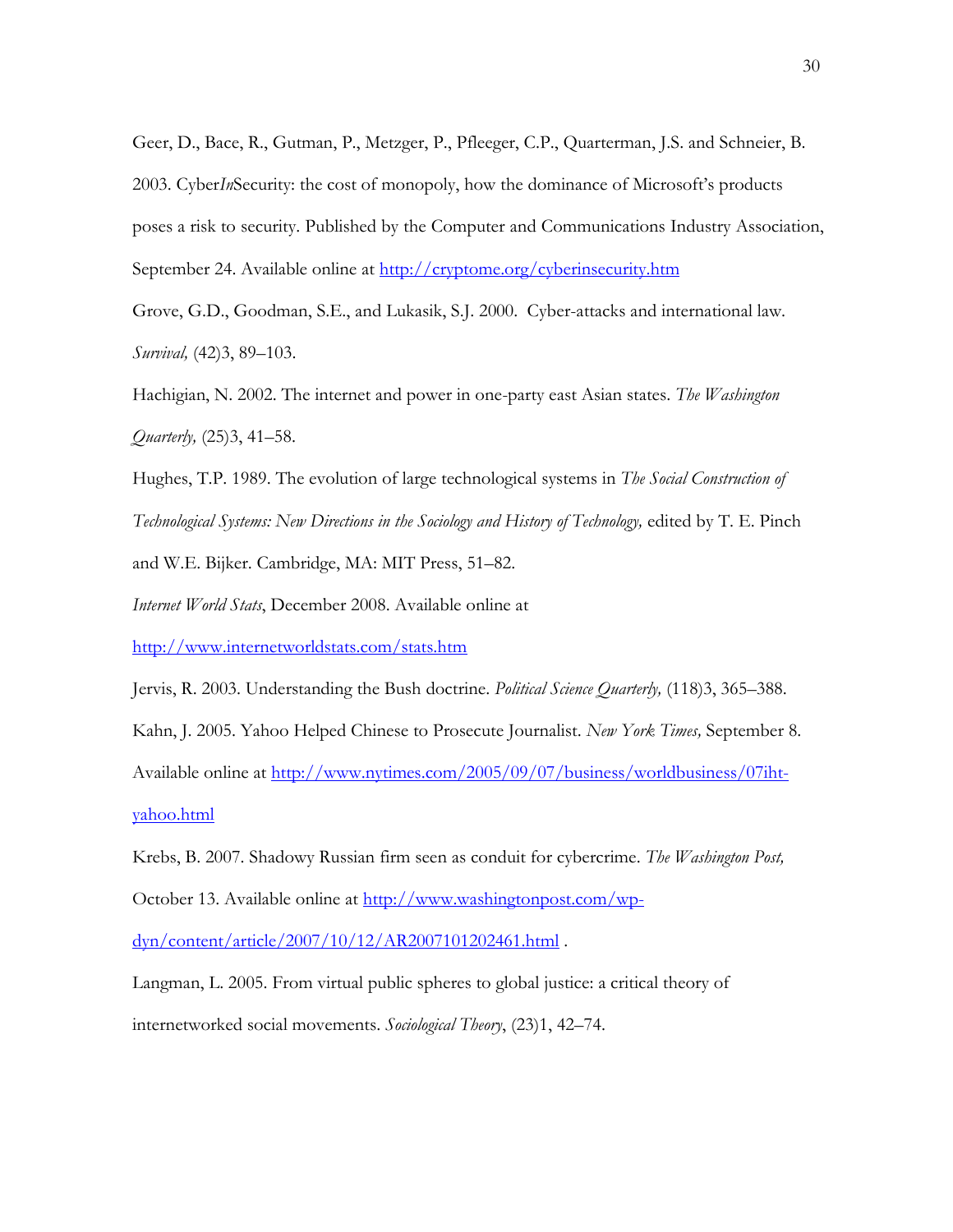Geer, D., Bace, R., Gutman, P., Metzger, P., Pfleeger, C.P., Quarterman, J.S. and Schneier, B. 2003. Cyber*In*Security: the cost of monopoly, how the dominance of Microsoft's products poses a risk to security. Published by the Computer and Communications Industry Association, September 24. Available online at<http://cryptome.org/cyberinsecurity.htm>

Grove, G.D., Goodman, S.E., and Lukasik, S.J. 2000. Cyber-attacks and international law. *Survival,* (42)3, 89–103.

Hachigian, N. 2002. The internet and power in one-party east Asian states. *The Washington Quarterly,* (25)3, 41–58.

Hughes, T.P. 1989. The evolution of large technological systems in *The Social Construction of Technological Systems: New Directions in the Sociology and History of Technology,* edited by T. E. Pinch and W.E. Bijker. Cambridge, MA: MIT Press, 51–82.

*Internet World Stats*, December 2008. Available online at

<http://www.internetworldstats.com/stats.htm>

Jervis, R. 2003. Understanding the Bush doctrine. *Political Science Quarterly,* (118)3, 365–388.

Kahn, J. 2005. Yahoo Helped Chinese to Prosecute Journalist. *New York Times,* September 8.

Available online at [http://www.nytimes.com/2005/09/07/business/worldbusiness/07iht](http://www.nytimes.com/2005/09/07/business/worldbusiness/07iht-yahoo.html)[yahoo.html](http://www.nytimes.com/2005/09/07/business/worldbusiness/07iht-yahoo.html)

Krebs, B. 2007. Shadowy Russian firm seen as conduit for cybercrime. *The Washington Post,*  October 13. Available online at [http://www.washingtonpost.com/wp-](http://www.washingtonpost.com/wp-dyn/content/article/2007/10/12/AR2007101202461.html)

[dyn/content/article/2007/10/12/AR2007101202461.html](http://www.washingtonpost.com/wp-dyn/content/article/2007/10/12/AR2007101202461.html) .

Langman, L. 2005. From virtual public spheres to global justice: a critical theory of internetworked social movements. *Sociological Theory*, (23)1, 42–74.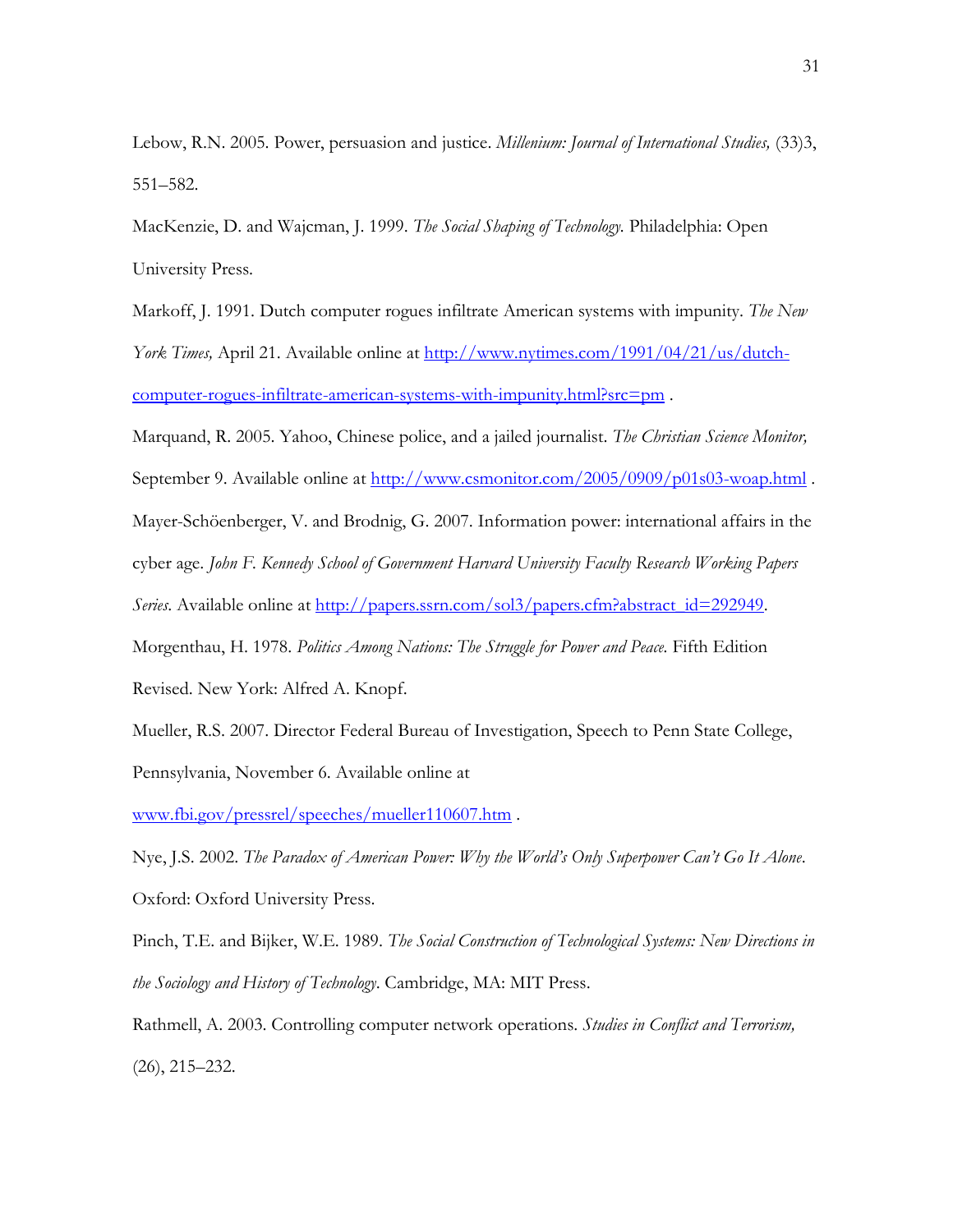Lebow, R.N. 2005. Power, persuasion and justice. *Millenium: Journal of International Studies,* (33)3, 551–582.

MacKenzie, D. and Wajcman, J. 1999. *The Social Shaping of Technology.* Philadelphia: Open University Press.

Markoff, J. 1991. Dutch computer rogues infiltrate American systems with impunity. *The New York Times,* April 21. Available online at [http://www.nytimes.com/1991/04/21/us/dutch](http://www.nytimes.com/1991/04/21/us/dutch-computer-rogues-infiltrate-american-systems-with-impunity.html?src=pm)[computer-rogues-infiltrate-american-systems-with-impunity.html?src=pm](http://www.nytimes.com/1991/04/21/us/dutch-computer-rogues-infiltrate-american-systems-with-impunity.html?src=pm) .

Marquand, R. 2005. Yahoo, Chinese police, and a jailed journalist. *The Christian Science Monitor,* 

September 9. Available online at<http://www.csmonitor.com/2005/0909/p01s03-woap.html>.

Mayer-Schöenberger, V. and Brodnig, G. 2007. Information power: international affairs in the

cyber age. *John F. Kennedy School of Government Harvard University Faculty Research Working Papers* 

*Series*. Available online at [http://papers.ssrn.com/sol3/papers.cfm?abstract\\_id=292949.](http://papers.ssrn.com/sol3/papers.cfm?abstract_id=292949)

Morgenthau, H. 1978. *Politics Among Nations: The Struggle for Power and Peace.* Fifth Edition

Revised. New York: Alfred A. Knopf.

Mueller, R.S. 2007. Director Federal Bureau of Investigation, Speech to Penn State College, Pennsylvania, November 6. Available online at

[www.fbi.gov/pressrel/speeches/mueller110607.htm](http://www.fbi.gov/pressrel/speeches/mueller110607.htm) .

Nye, J.S. 2002. *The Paradox of American Power: Why the World's Only Superpower Can't Go It Alone*. Oxford: Oxford University Press.

Pinch, T.E. and Bijker, W.E. 1989. *The Social Construction of Technological Systems: New Directions in the Sociology and History of Technology*. Cambridge, MA: MIT Press.

Rathmell, A. 2003. Controlling computer network operations. *Studies in Conflict and Terrorism,*  (26), 215–232.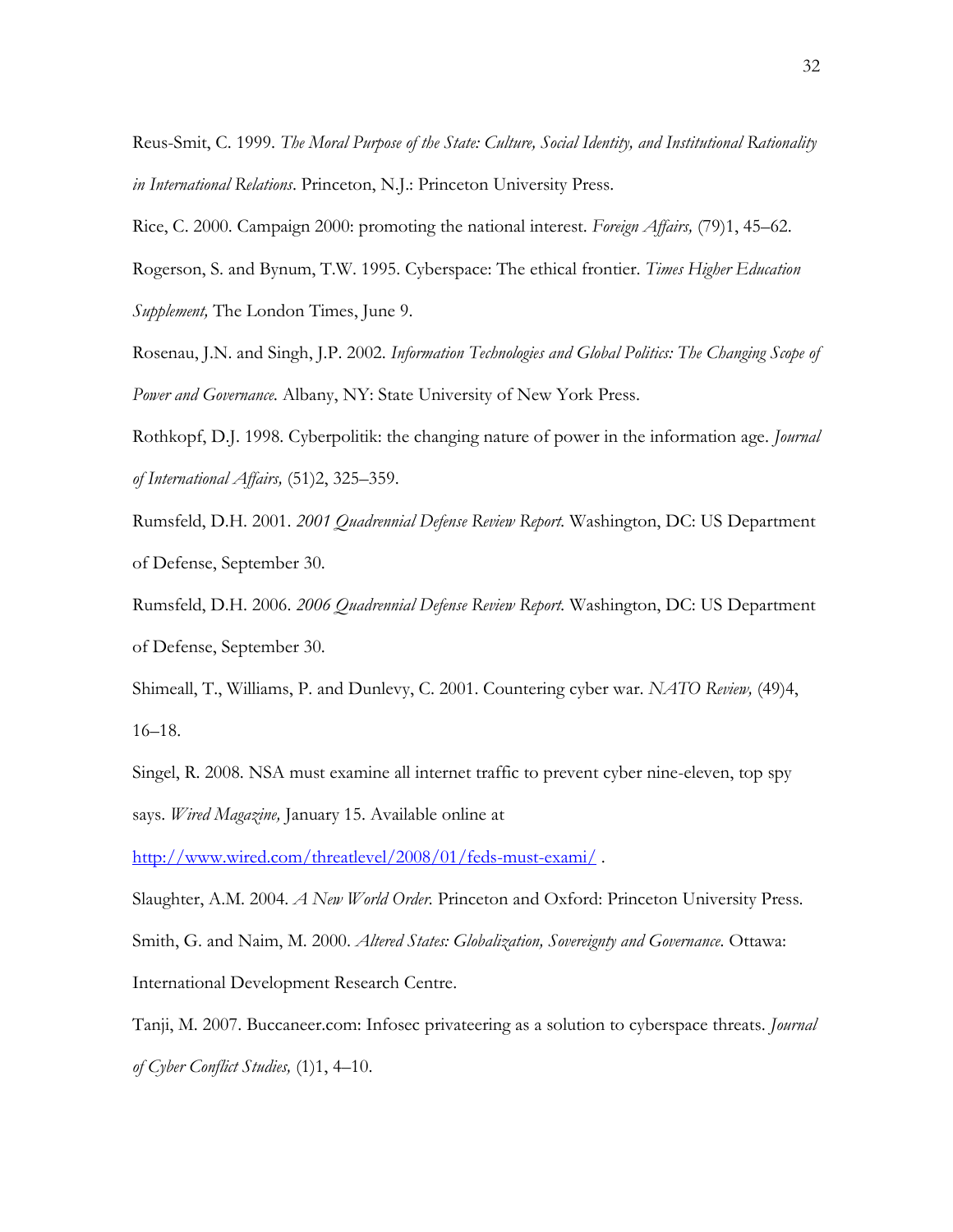Reus-Smit, C. 1999. *The Moral Purpose of the State: Culture, Social Identity, and Institutional Rationality in International Relations*. Princeton, N.J.: Princeton University Press.

Rice, C. 2000. Campaign 2000: promoting the national interest. *Foreign Affairs,* (79)1, 45–62.

Rogerson, S. and Bynum, T.W. 1995. Cyberspace: The ethical frontier. *Times Higher Education Supplement,* The London Times, June 9.

Rosenau, J.N. and Singh, J.P. 2002. *Information Technologies and Global Politics: The Changing Scope of Power and Governance.* Albany, NY: State University of New York Press.

Rothkopf, D.J. 1998. Cyberpolitik: the changing nature of power in the information age. *Journal of International Affairs,* (51)2, 325–359.

Rumsfeld, D.H. 2001. *2001 Quadrennial Defense Review Report.* Washington, DC: US Department of Defense, September 30.

Rumsfeld, D.H. 2006. *2006 Quadrennial Defense Review Report.* Washington, DC: US Department of Defense, September 30.

Shimeall, T., Williams, P. and Dunlevy, C. 2001. Countering cyber war. *NATO Review,* (49)4, 16–18.

Singel, R. 2008. NSA must examine all internet traffic to prevent cyber nine-eleven, top spy says. *Wired Magazine,* January 15. Available online at

<http://www.wired.com/threatlevel/2008/01/feds-must-exami/> .

Slaughter, A.M. 2004. *A New World Order.* Princeton and Oxford: Princeton University Press. Smith, G. and Naim, M. 2000. *Altered States: Globalization, Sovereignty and Governance.* Ottawa: International Development Research Centre.

Tanji, M. 2007. Buccaneer.com: Infosec privateering as a solution to cyberspace threats. *Journal of Cyber Conflict Studies,* (1)1, 4–10.